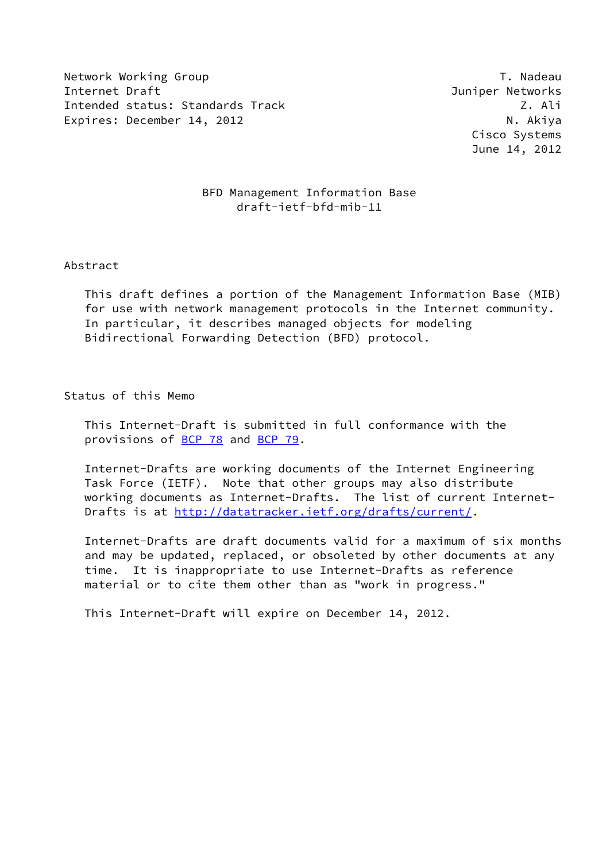Network Working Group T. Nadeau Network Alexander Management of the U.S. of the U.S. of the U.S. of the U.S. o Internet Draft **Graph** Communication and Communication and Communication and Communication and Communication and Communication and Communication and Communication and Communication and Communication and Communication and C Intended status: Standards Track Z. Ali Expires: December 14, 2012 N. Akiya

 Cisco Systems June 14, 2012

#### BFD Management Information Base draft-ietf-bfd-mib-11

#### Abstract

 This draft defines a portion of the Management Information Base (MIB) for use with network management protocols in the Internet community. In particular, it describes managed objects for modeling Bidirectional Forwarding Detection (BFD) protocol.

Status of this Memo

 This Internet-Draft is submitted in full conformance with the provisions of [BCP 78](https://datatracker.ietf.org/doc/pdf/bcp78) and [BCP 79](https://datatracker.ietf.org/doc/pdf/bcp79).

 Internet-Drafts are working documents of the Internet Engineering Task Force (IETF). Note that other groups may also distribute working documents as Internet-Drafts. The list of current Internet- Drafts is at<http://datatracker.ietf.org/drafts/current/>.

 Internet-Drafts are draft documents valid for a maximum of six months and may be updated, replaced, or obsoleted by other documents at any time. It is inappropriate to use Internet-Drafts as reference material or to cite them other than as "work in progress."

This Internet-Draft will expire on December 14, 2012.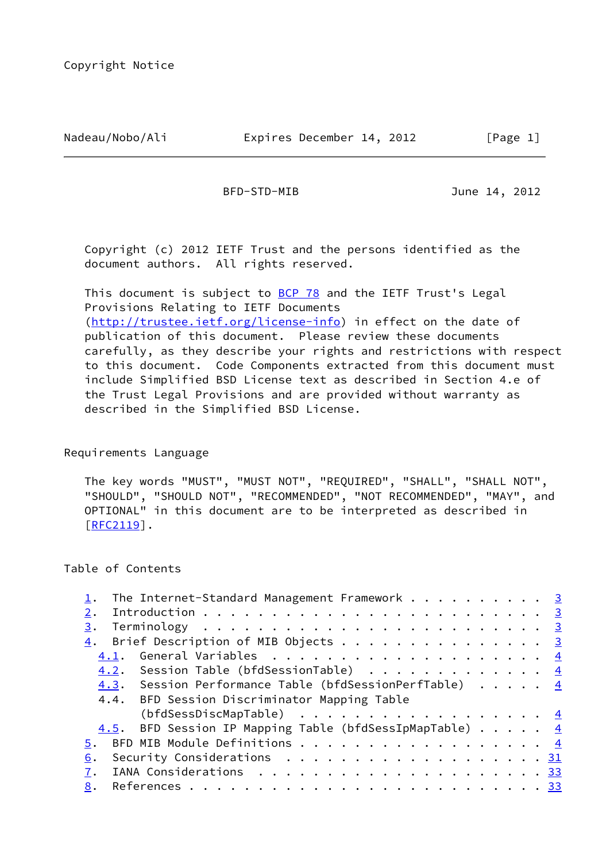#### Nadeau/Nobo/Ali **Expires December 14, 2012** [Page 1]

BFD-STD-MIB June 14, 2012

 Copyright (c) 2012 IETF Trust and the persons identified as the document authors. All rights reserved.

This document is subject to **[BCP 78](https://datatracker.ietf.org/doc/pdf/bcp78)** and the IETF Trust's Legal Provisions Relating to IETF Documents [\(http://trustee.ietf.org/license-info](http://trustee.ietf.org/license-info)) in effect on the date of publication of this document. Please review these documents carefully, as they describe your rights and restrictions with respect to this document. Code Components extracted from this document must include Simplified BSD License text as described in Section 4.e of the Trust Legal Provisions and are provided without warranty as described in the Simplified BSD License.

Requirements Language

 The key words "MUST", "MUST NOT", "REQUIRED", "SHALL", "SHALL NOT", "SHOULD", "SHOULD NOT", "RECOMMENDED", "NOT RECOMMENDED", "MAY", and OPTIONAL" in this document are to be interpreted as described in [\[RFC2119](https://datatracker.ietf.org/doc/pdf/rfc2119)].

## Table of Contents

| The Internet-Standard Management Framework 3                                                  |  |
|-----------------------------------------------------------------------------------------------|--|
| 2.                                                                                            |  |
| 3.                                                                                            |  |
| $\underline{4}$ . Brief Description of MIB Objects 3                                          |  |
| 4.1.                                                                                          |  |
| 4.2. Session Table (bfdSessionTable) $\frac{4}{1}$                                            |  |
| 4.3. Session Performance Table (bfdSessionPerfTable) 4                                        |  |
| 4.4. BFD Session Discriminator Mapping Table                                                  |  |
| (bfdSessDiscMapTable) $\frac{4}{5}$                                                           |  |
| 4.5. BFD Session IP Mapping Table (bfdSessIpMapTable) 4                                       |  |
| BFD MIB Module Definitions 4<br>5.                                                            |  |
| Security Considerations $\ldots \ldots \ldots \ldots \ldots \ldots \ldots \frac{31}{2}$<br>6. |  |
|                                                                                               |  |
| 8.                                                                                            |  |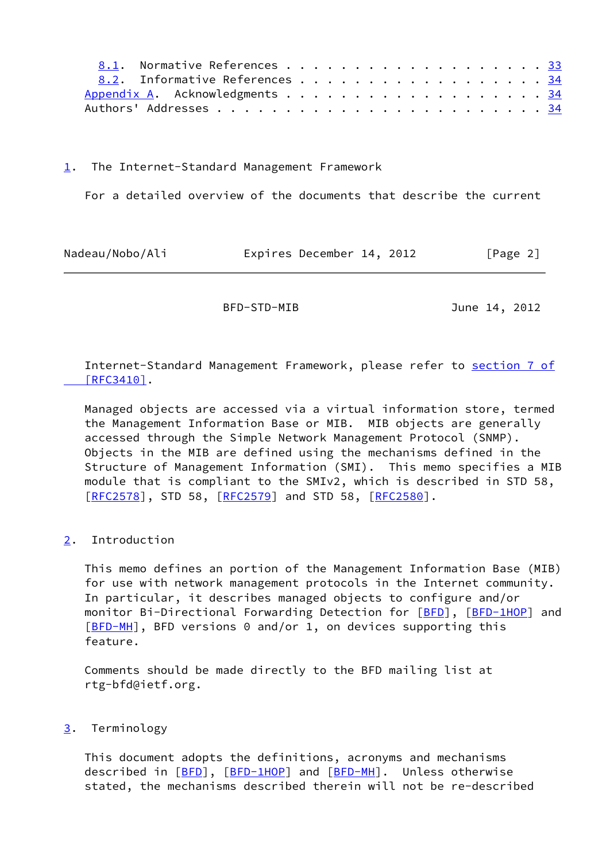| 8.1. Normative References 33   |  |  |  |  |  |  |  |  |  |
|--------------------------------|--|--|--|--|--|--|--|--|--|
| 8.2. Informative References 34 |  |  |  |  |  |  |  |  |  |
| Appendix A. Acknowledgments 34 |  |  |  |  |  |  |  |  |  |
|                                |  |  |  |  |  |  |  |  |  |

<span id="page-2-0"></span>[1](#page-2-0). The Internet-Standard Management Framework

For a detailed overview of the documents that describe the current

<span id="page-2-1"></span>

| Nadeau/Nobo/Ali |  | Expires December 14, 2012 |  |  | [Page 2] |  |
|-----------------|--|---------------------------|--|--|----------|--|
|-----------------|--|---------------------------|--|--|----------|--|

BFD-STD-MIB June 14, 2012

 Internet-Standard Management Framework, please refer to [section](https://datatracker.ietf.org/doc/pdf/rfc3410#section-7) 7 of  [\[RFC3410\]](https://datatracker.ietf.org/doc/pdf/rfc3410#section-7).

 Managed objects are accessed via a virtual information store, termed the Management Information Base or MIB. MIB objects are generally accessed through the Simple Network Management Protocol (SNMP). Objects in the MIB are defined using the mechanisms defined in the Structure of Management Information (SMI). This memo specifies a MIB module that is compliant to the SMIv2, which is described in STD 58, [\[RFC2578](https://datatracker.ietf.org/doc/pdf/rfc2578)], STD 58, [[RFC2579\]](https://datatracker.ietf.org/doc/pdf/rfc2579) and STD 58, [\[RFC2580](https://datatracker.ietf.org/doc/pdf/rfc2580)].

## <span id="page-2-2"></span>[2](#page-2-2). Introduction

 This memo defines an portion of the Management Information Base (MIB) for use with network management protocols in the Internet community. In particular, it describes managed objects to configure and/or monitor Bi-Directional Forwarding Detection for [\[BFD](#page-41-3)], [\[BFD-1HOP](#page-42-1)] and [\[BFD-MH](#page-42-2)], BFD versions 0 and/or 1, on devices supporting this feature.

 Comments should be made directly to the BFD mailing list at rtg-bfd@ietf.org.

#### <span id="page-2-3"></span>[3](#page-2-3). Terminology

 This document adopts the definitions, acronyms and mechanisms described in [\[BFD](#page-41-3)], [\[BFD-1HOP](#page-42-1)] and [[BFD-MH](#page-42-2)]. Unless otherwise stated, the mechanisms described therein will not be re-described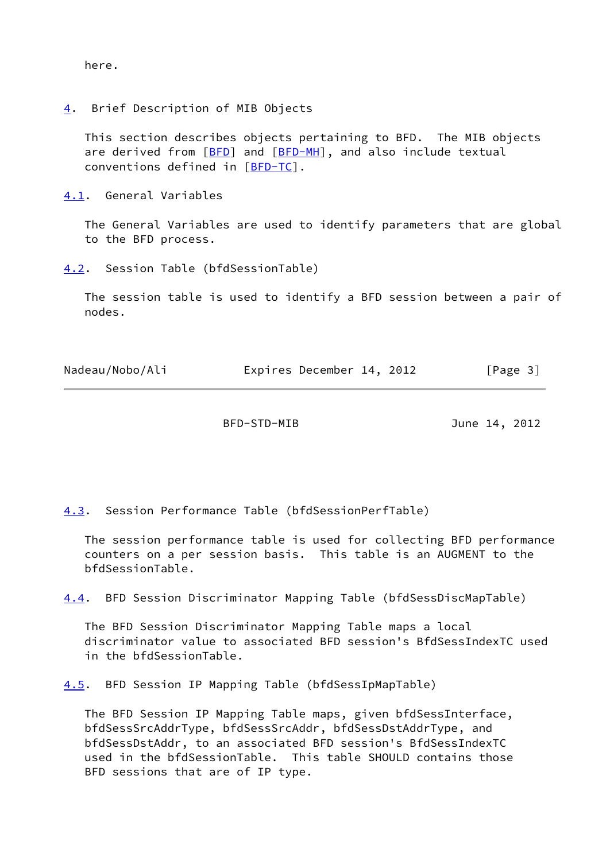here.

<span id="page-3-0"></span>[4](#page-3-0). Brief Description of MIB Objects

 This section describes objects pertaining to BFD. The MIB objects are derived from [\[BFD](#page-41-3)] and [[BFD-MH](#page-42-2)], and also include textual conventions defined in [\[BFD-TC](#page-42-3)].

<span id="page-3-1"></span>[4.1](#page-3-1). General Variables

 The General Variables are used to identify parameters that are global to the BFD process.

<span id="page-3-3"></span>[4.2](#page-3-3). Session Table (bfdSessionTable)

 The session table is used to identify a BFD session between a pair of nodes.

<span id="page-3-2"></span>

| Nadeau/Nobo/Ali | Expires December 14, 2012 | [Page 3] |
|-----------------|---------------------------|----------|
|-----------------|---------------------------|----------|

BFD-STD-MIB June 14, 2012

<span id="page-3-4"></span>[4.3](#page-3-4). Session Performance Table (bfdSessionPerfTable)

 The session performance table is used for collecting BFD performance counters on a per session basis. This table is an AUGMENT to the bfdSessionTable.

<span id="page-3-6"></span>[4.4](#page-3-6). BFD Session Discriminator Mapping Table (bfdSessDiscMapTable)

 The BFD Session Discriminator Mapping Table maps a local discriminator value to associated BFD session's BfdSessIndexTC used in the bfdSessionTable.

<span id="page-3-5"></span>[4.5](#page-3-5). BFD Session IP Mapping Table (bfdSessIpMapTable)

 The BFD Session IP Mapping Table maps, given bfdSessInterface, bfdSessSrcAddrType, bfdSessSrcAddr, bfdSessDstAddrType, and bfdSessDstAddr, to an associated BFD session's BfdSessIndexTC used in the bfdSessionTable. This table SHOULD contains those BFD sessions that are of IP type.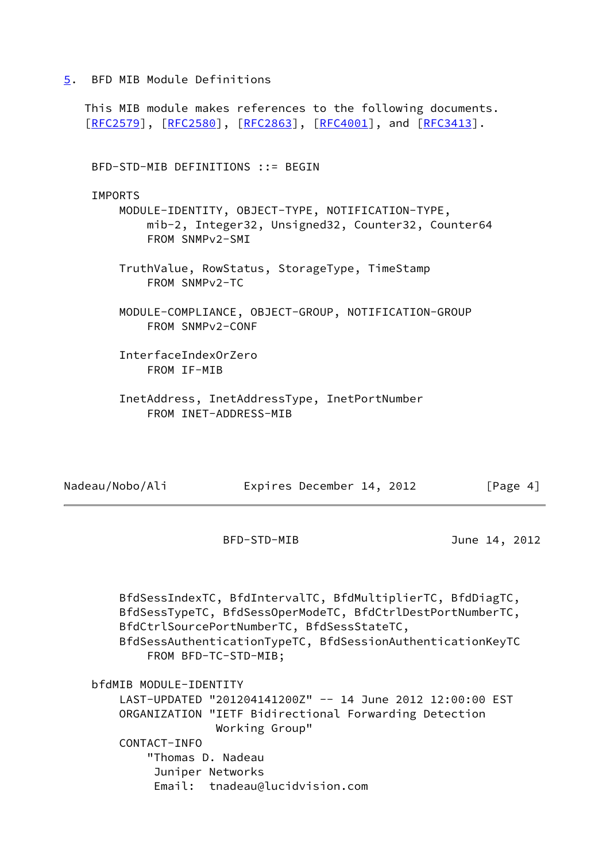<span id="page-4-0"></span>[5](#page-4-0). BFD MIB Module Definitions

 This MIB module makes references to the following documents. [\[RFC2579](https://datatracker.ietf.org/doc/pdf/rfc2579)], [[RFC2580\]](https://datatracker.ietf.org/doc/pdf/rfc2580), [[RFC2863](https://datatracker.ietf.org/doc/pdf/rfc2863)], [\[RFC4001](https://datatracker.ietf.org/doc/pdf/rfc4001)], and [\[RFC3413](https://datatracker.ietf.org/doc/pdf/rfc3413)]. BFD-STD-MIB DEFINITIONS ::= BEGIN **TMPORTS**  MODULE-IDENTITY, OBJECT-TYPE, NOTIFICATION-TYPE, mib-2, Integer32, Unsigned32, Counter32, Counter64 FROM SNMPv2-SMI TruthValue, RowStatus, StorageType, TimeStamp FROM SNMPv2-TC MODULE-COMPLIANCE, OBJECT-GROUP, NOTIFICATION-GROUP FROM SNMPv2-CONF InterfaceIndexOrZero FROM IF-MIB InetAddress, InetAddressType, InetPortNumber FROM INET-ADDRESS-MIB

| Nadeau/Nobo/Ali | Expires December 14, 2012 | [Page 4] |
|-----------------|---------------------------|----------|
|-----------------|---------------------------|----------|

BFD-STD-MIB June 14, 2012

 BfdSessIndexTC, BfdIntervalTC, BfdMultiplierTC, BfdDiagTC, BfdSessTypeTC, BfdSessOperModeTC, BfdCtrlDestPortNumberTC, BfdCtrlSourcePortNumberTC, BfdSessStateTC, BfdSessAuthenticationTypeTC, BfdSessionAuthenticationKeyTC FROM BFD-TC-STD-MIB; bfdMIB MODULE-IDENTITY LAST-UPDATED "201204141200Z" -- 14 June 2012 12:00:00 EST ORGANIZATION "IETF Bidirectional Forwarding Detection Working Group" CONTACT-INFO "Thomas D. Nadeau Juniper Networks Email: tnadeau@lucidvision.com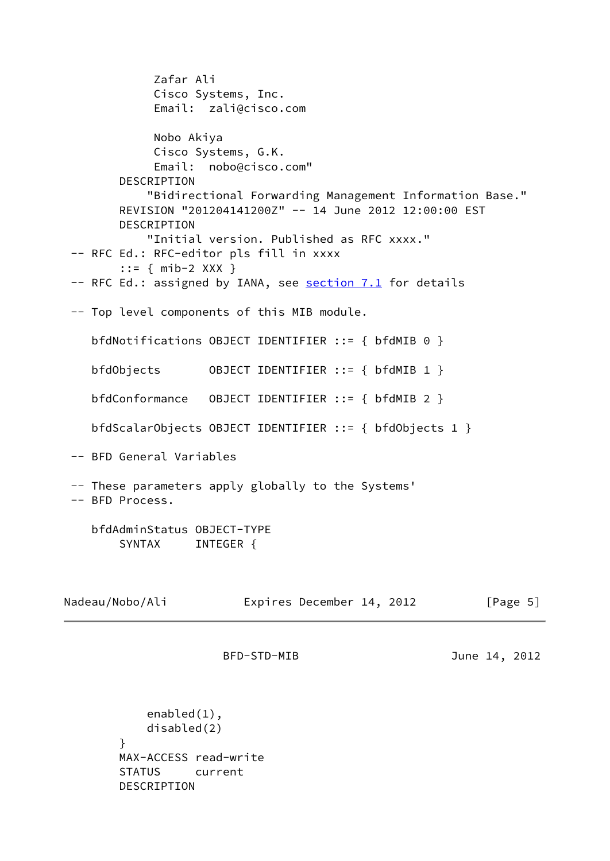Zafar Ali Cisco Systems, Inc. Email: zali@cisco.com Nobo Akiya Cisco Systems, G.K. Email: nobo@cisco.com" DESCRIPTION "Bidirectional Forwarding Management Information Base." REVISION "201204141200Z" -- 14 June 2012 12:00:00 EST DESCRIPTION "Initial version. Published as RFC xxxx." -- RFC Ed.: RFC-editor pls fill in xxxx ::= { mib-2 XXX } -- RFC Ed.: assigned by IANA, see section 7.1 for details -- Top level components of this MIB module. bfdNotifications OBJECT IDENTIFIER ::= { bfdMIB 0 } bfdObjects OBJECT IDENTIFIER ::= { bfdMIB 1 } bfdConformance OBJECT IDENTIFIER ::= { bfdMIB 2 } bfdScalarObjects OBJECT IDENTIFIER ::= { bfdObjects 1 } -- BFD General Variables -- These parameters apply globally to the Systems' -- BFD Process. bfdAdminStatus OBJECT-TYPE SYNTAX INTEGER { Nadeau/Nobo/Ali **Expires December 14, 2012** [Page 5] BFD-STD-MIB June 14, 2012 enabled(1), disabled(2) } MAX-ACCESS read-write STATUS current DESCRIPTION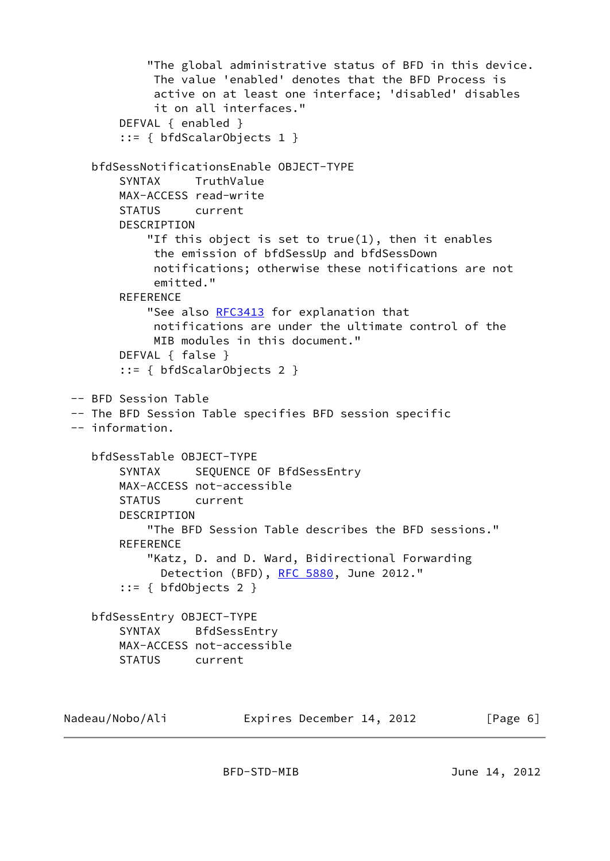```
 "The global administrative status of BFD in this device.
             The value 'enabled' denotes that the BFD Process is
             active on at least one interface; 'disabled' disables
             it on all interfaces."
        DEFVAL { enabled }
         ::= { bfdScalarObjects 1 }
    bfdSessNotificationsEnable OBJECT-TYPE
         SYNTAX TruthValue
        MAX-ACCESS read-write
        STATUS current
        DESCRIPTION
             "If this object is set to true(1), then it enables
             the emission of bfdSessUp and bfdSessDown
             notifications; otherwise these notifications are not
             emitted."
       REFERENCE
             "See also RFC3413 for explanation that
             notifications are under the ultimate control of the
             MIB modules in this document."
        DEFVAL { false }
         ::= { bfdScalarObjects 2 }
 -- BFD Session Table
  -- The BFD Session Table specifies BFD session specific
  -- information.
    bfdSessTable OBJECT-TYPE
         SYNTAX SEQUENCE OF BfdSessEntry
        MAX-ACCESS not-accessible
        STATUS current
        DESCRIPTION
             "The BFD Session Table describes the BFD sessions."
        REFERENCE
             "Katz, D. and D. Ward, Bidirectional Forwarding
              RFC 5880, June 2012."
         ::= { bfdObjects 2 }
    bfdSessEntry OBJECT-TYPE
        SYNTAX BfdSessEntry
        MAX-ACCESS not-accessible
        STATUS current
Nadeau/Nobo/Ali Expires December 14, 2012 [Page 6]
```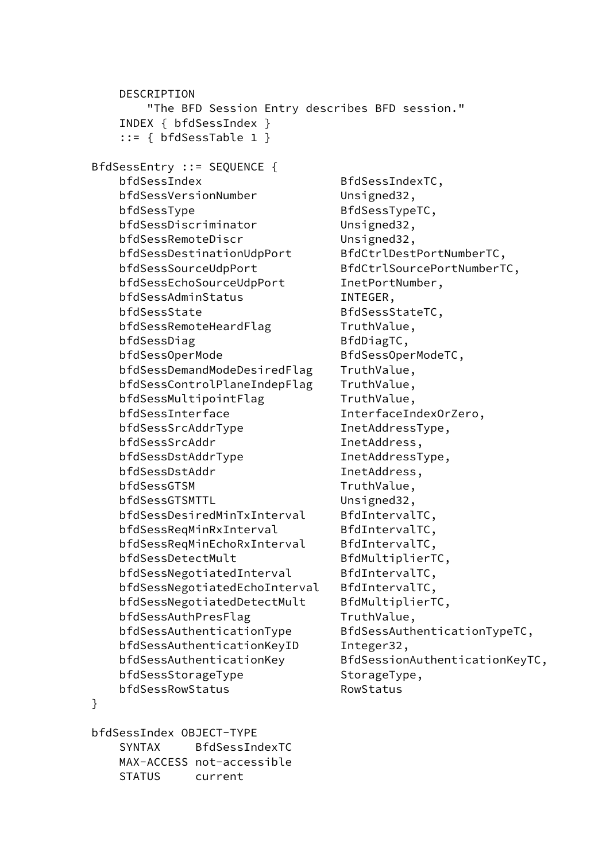DESCRIPTION "The BFD Session Entry describes BFD session." INDEX { bfdSessIndex } ::= { bfdSessTable 1 } BfdSessEntry ::= SEQUENCE { bfdSessIndex BfdSessIndexTC, bfdSessVersionNumber Unsigned32, bfdSessType BfdSessTypeTC, bfdSessDiscriminator Unsigned32, bfdSessRemoteDiscr Unsigned32, bfdSessDestinationUdpPort BfdCtrlDestPortNumberTC, bfdSessSourceUdpPort BfdCtrlSourcePortNumberTC, bfdSessEchoSourceUdpPort InetPortNumber, bfdSessAdminStatus INTEGER, bfdSessState BfdSessStateTC, bfdSessRemoteHeardFlag TruthValue, bfdSessDiag BfdDiagTC, bfdSessOperMode BfdSessOperModeTC, bfdSessDemandModeDesiredFlag TruthValue, bfdSessControlPlaneIndepFlag TruthValue, bfdSessMultipointFlag TruthValue, bfdSessInterface InterfaceIndexOrZero, bfdSessSrcAddrType InetAddressType, bfdSessSrcAddr InetAddress, bfdSessDstAddrType InetAddressType, bfdSessDstAddr InetAddress, bfdSessGTSM TruthValue, bfdSessGTSMTTL Unsigned32, bfdSessDesiredMinTxInterval BfdIntervalTC, bfdSessReqMinRxInterval BfdIntervalTC, bfdSessReqMinEchoRxInterval BfdIntervalTC, bfdSessDetectMult
BfdMultiplierTC, bfdSessNegotiatedInterval BfdIntervalTC, bfdSessNegotiatedEchoInterval BfdIntervalTC, bfdSessNegotiatedDetectMult BfdMultiplierTC, bfdSessAuthPresFlag TruthValue, bfdSessAuthenticationType BfdSessAuthenticationTypeTC, bfdSessAuthenticationKeyID Integer32, bfdSessAuthenticationKey BfdSessionAuthenticationKeyTC, bfdSessStorageType StorageType, bfdSessRowStatus RowStatus }

 bfdSessIndex OBJECT-TYPE SYNTAX BfdSessIndexTC MAX-ACCESS not-accessible STATUS current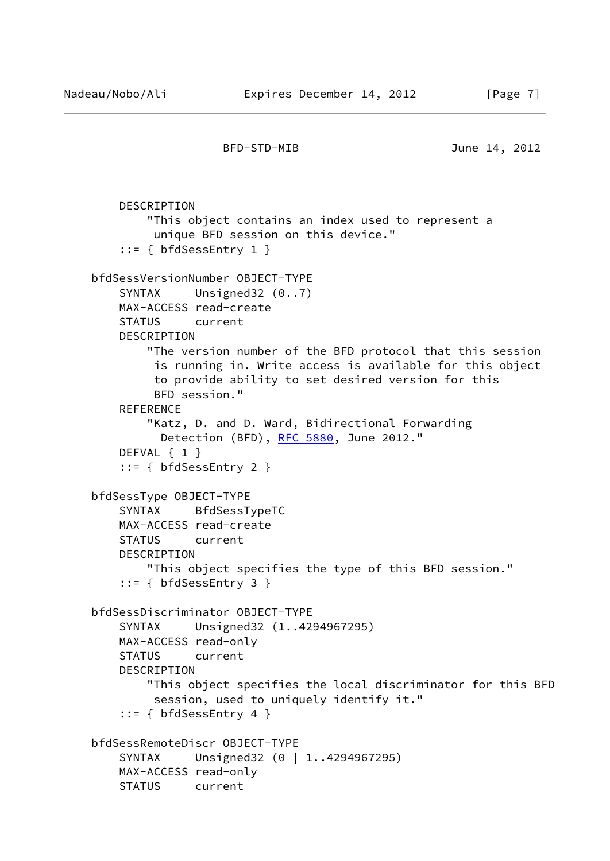```
 DESCRIPTION
         "This object contains an index used to represent a
          unique BFD session on this device."
     ::= { bfdSessEntry 1 }
 bfdSessVersionNumber OBJECT-TYPE
    SYNTAX Unsigned32 (0..7)
    MAX-ACCESS read-create
     STATUS current
     DESCRIPTION
         "The version number of the BFD protocol that this session
          is running in. Write access is available for this object
          to provide ability to set desired version for this
          BFD session."
     REFERENCE
         "Katz, D. and D. Ward, Bidirectional Forwarding
           Detection (BFD), RFC 5880, June 2012."
     DEFVAL { 1 }
     ::= { bfdSessEntry 2 }
 bfdSessType OBJECT-TYPE
     SYNTAX BfdSessTypeTC
    MAX-ACCESS read-create
     STATUS current
     DESCRIPTION
         "This object specifies the type of this BFD session."
     ::= { bfdSessEntry 3 }
 bfdSessDiscriminator OBJECT-TYPE
     SYNTAX Unsigned32 (1..4294967295)
    MAX-ACCESS read-only
     STATUS current
    DESCRIPTION
         "This object specifies the local discriminator for this BFD
          session, used to uniquely identify it."
     ::= { bfdSessEntry 4 }
 bfdSessRemoteDiscr OBJECT-TYPE
    SYNTAX Unsigned32 (0 | 1..4294967295)
     MAX-ACCESS read-only
     STATUS current
```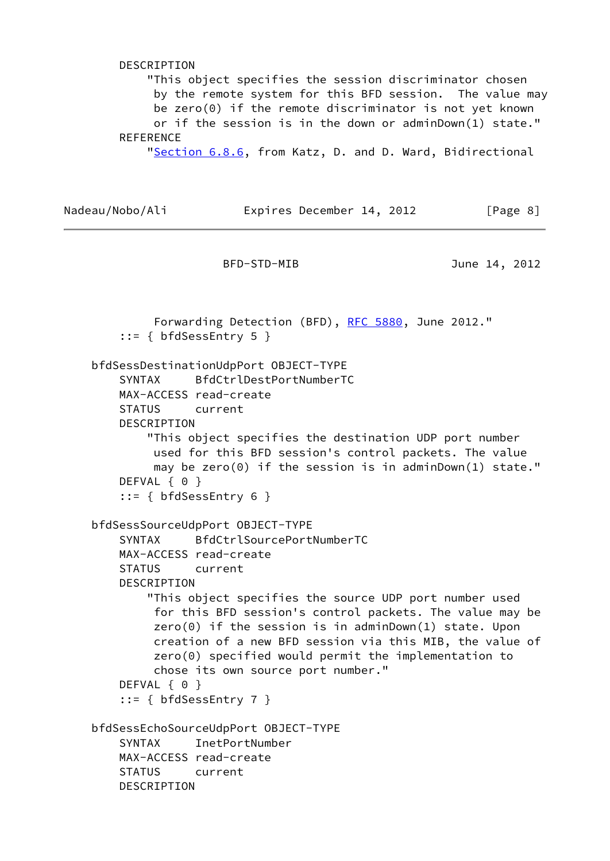DESCRIPTION "This object specifies the session discriminator chosen by the remote system for this BFD session. The value may be zero(0) if the remote discriminator is not yet known or if the session is in the down or adminDown(1) state." **REFERENCE** "Section 6.8.6, from Katz, D. and D. Ward, Bidirectional

```
Nadeau/Nobo/Ali Expires December 14, 2012 [Page 8]
```
BFD-STD-MIB June 14, 2012

Forwarding Detection (BFD), [RFC 5880](https://datatracker.ietf.org/doc/pdf/rfc5880), June 2012." ::= { bfdSessEntry 5 } bfdSessDestinationUdpPort OBJECT-TYPE SYNTAX BfdCtrlDestPortNumberTC MAX-ACCESS read-create STATUS current DESCRIPTION "This object specifies the destination UDP port number used for this BFD session's control packets. The value may be zero(0) if the session is in adminDown(1) state." DEFVAL { 0 } ::= { bfdSessEntry 6 } bfdSessSourceUdpPort OBJECT-TYPE SYNTAX BfdCtrlSourcePortNumberTC MAX-ACCESS read-create STATUS current DESCRIPTION "This object specifies the source UDP port number used for this BFD session's control packets. The value may be  $zero(0)$  if the session is in adminDown(1) state. Upon creation of a new BFD session via this MIB, the value of zero(0) specified would permit the implementation to chose its own source port number." DEFVAL { 0 } ::= { bfdSessEntry 7 } bfdSessEchoSourceUdpPort OBJECT-TYPE SYNTAX InetPortNumber MAX-ACCESS read-create STATUS current DESCRIPTION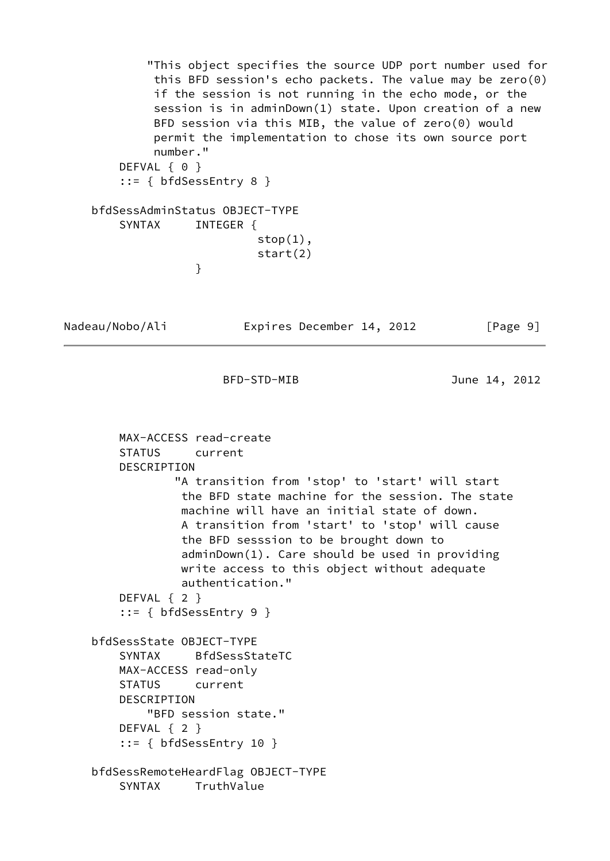```
 "This object specifies the source UDP port number used for
             this BFD session's echo packets. The value may be zero(0)
             if the session is not running in the echo mode, or the
             session is in adminDown(1) state. Upon creation of a new
             BFD session via this MIB, the value of zero(0) would
             permit the implementation to chose its own source port
             number."
       DEFVAL { 0 }
        ::= { bfdSessEntry 8 }
    bfdSessAdminStatus OBJECT-TYPE
        SYNTAX INTEGER {
                            stop(1),
                            start(2)
 }
```
Nadeau/Nobo/Ali Expires December 14, 2012 [Page 9]

BFD-STD-MIB June 14, 2012

```
 MAX-ACCESS read-create
     STATUS current
     DESCRIPTION
             "A transition from 'stop' to 'start' will start
              the BFD state machine for the session. The state
              machine will have an initial state of down.
              A transition from 'start' to 'stop' will cause
              the BFD sesssion to be brought down to
              adminDown(1). Care should be used in providing
              write access to this object without adequate
              authentication."
     DEFVAL { 2 }
     ::= { bfdSessEntry 9 }
 bfdSessState OBJECT-TYPE
     SYNTAX BfdSessStateTC
    MAX-ACCESS read-only
     STATUS current
     DESCRIPTION
         "BFD session state."
     DEFVAL { 2 }
    ::= { bfdSessEntry 10 }
 bfdSessRemoteHeardFlag OBJECT-TYPE
     SYNTAX TruthValue
```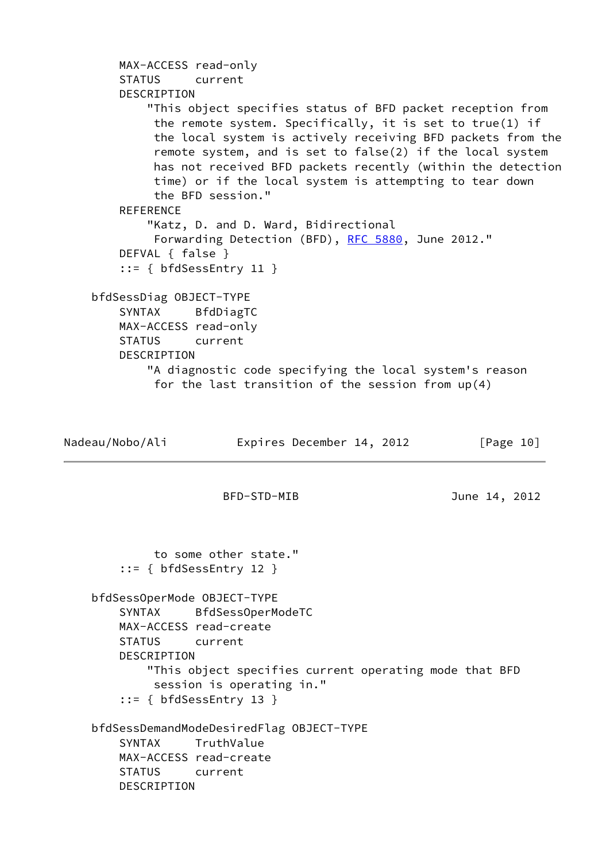```
 MAX-ACCESS read-only
        STATUS current
        DESCRIPTION
            "This object specifies status of BFD packet reception from
             the remote system. Specifically, it is set to true(1) if
             the local system is actively receiving BFD packets from the
             remote system, and is set to false(2) if the local system
             has not received BFD packets recently (within the detection
             time) or if the local system is attempting to tear down
             the BFD session."
        REFERENCE
            "Katz, D. and D. Ward, Bidirectional
             RFC 5880, June 2012."
        DEFVAL { false }
        ::= { bfdSessEntry 11 }
    bfdSessDiag OBJECT-TYPE
        SYNTAX BfdDiagTC
        MAX-ACCESS read-only
        STATUS current
        DESCRIPTION
            "A diagnostic code specifying the local system's reason
             for the last transition of the session from up(4)
Nadeau/Nobo/Ali Expires December 14, 2012 [Page 10]
                      BFD-STD-MIB June 14, 2012
             to some other state."
        ::= { bfdSessEntry 12 }
    bfdSessOperMode OBJECT-TYPE
        SYNTAX BfdSessOperModeTC
        MAX-ACCESS read-create
        STATUS current
        DESCRIPTION
            "This object specifies current operating mode that BFD
             session is operating in."
        ::= { bfdSessEntry 13 }
    bfdSessDemandModeDesiredFlag OBJECT-TYPE
        SYNTAX TruthValue
        MAX-ACCESS read-create
        STATUS current
        DESCRIPTION
```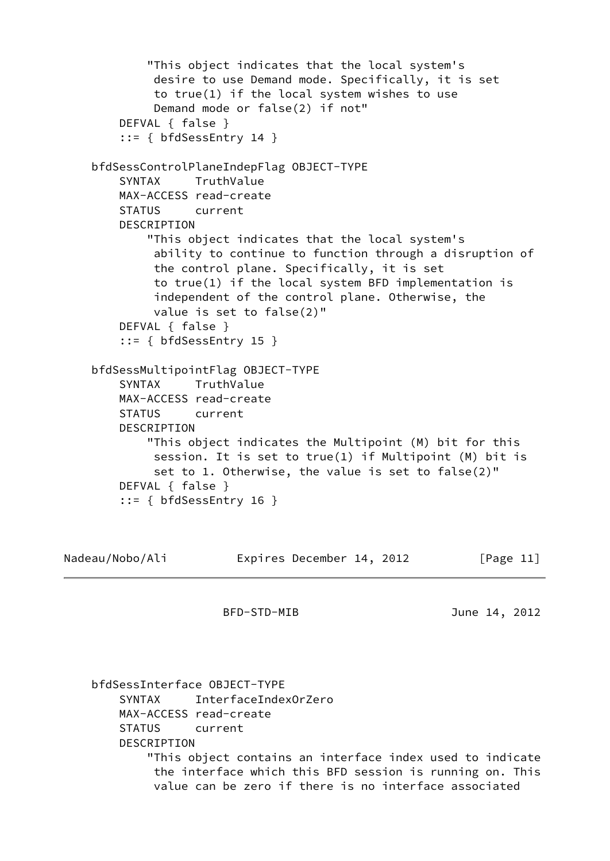```
 "This object indicates that the local system's
          desire to use Demand mode. Specifically, it is set
          to true(1) if the local system wishes to use
          Demand mode or false(2) if not"
     DEFVAL { false }
     ::= { bfdSessEntry 14 }
 bfdSessControlPlaneIndepFlag OBJECT-TYPE
     SYNTAX TruthValue
     MAX-ACCESS read-create
     STATUS current
     DESCRIPTION
         "This object indicates that the local system's
          ability to continue to function through a disruption of
          the control plane. Specifically, it is set
          to true(1) if the local system BFD implementation is
          independent of the control plane. Otherwise, the
          value is set to false(2)"
     DEFVAL { false }
     ::= { bfdSessEntry 15 }
 bfdSessMultipointFlag OBJECT-TYPE
     SYNTAX TruthValue
     MAX-ACCESS read-create
     STATUS current
     DESCRIPTION
         "This object indicates the Multipoint (M) bit for this
          session. It is set to true(1) if Multipoint (M) bit is
          set to 1. Otherwise, the value is set to false(2)"
     DEFVAL { false }
     ::= { bfdSessEntry 16 }
```

```
Nadeau/Nobo/Ali     Expires December 14, 2012   [Page 11]
```
 bfdSessInterface OBJECT-TYPE SYNTAX InterfaceIndexOrZero MAX-ACCESS read-create STATUS current DESCRIPTION "This object contains an interface index used to indicate the interface which this BFD session is running on. This value can be zero if there is no interface associated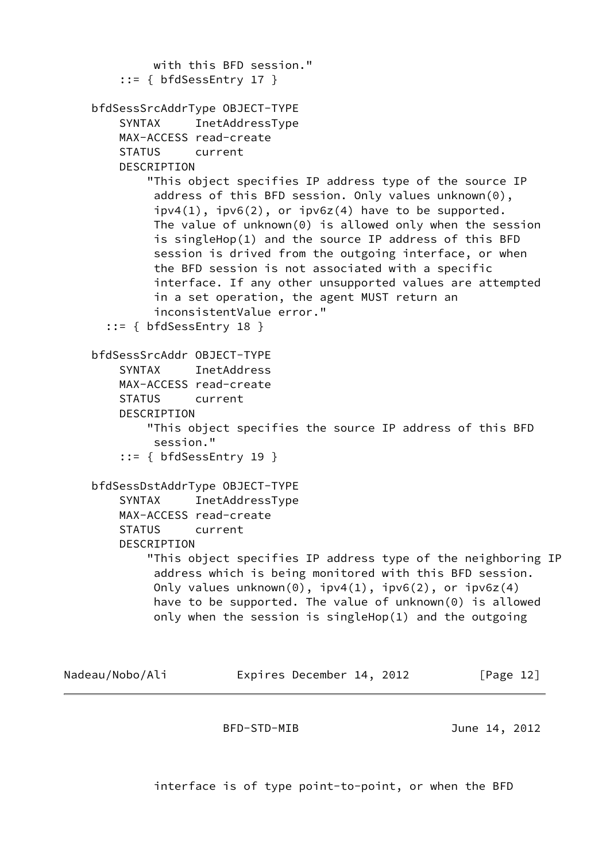```
 with this BFD session."
        ::= { bfdSessEntry 17 }
     bfdSessSrcAddrType OBJECT-TYPE
         SYNTAX InetAddressType
         MAX-ACCESS read-create
         STATUS current
         DESCRIPTION
             "This object specifies IP address type of the source IP
              address of this BFD session. Only values unknown(0),
             ipv4(1), ipv6(2), or ipv6z(4) have to be supported.
              The value of unknown(0) is allowed only when the session
              is singleHop(1) and the source IP address of this BFD
              session is drived from the outgoing interface, or when
              the BFD session is not associated with a specific
              interface. If any other unsupported values are attempted
              in a set operation, the agent MUST return an
              inconsistentValue error."
       ::= { bfdSessEntry 18 }
     bfdSessSrcAddr OBJECT-TYPE
         SYNTAX InetAddress
         MAX-ACCESS read-create
         STATUS current
         DESCRIPTION
             "This object specifies the source IP address of this BFD
              session."
         ::= { bfdSessEntry 19 }
     bfdSessDstAddrType OBJECT-TYPE
         SYNTAX InetAddressType
         MAX-ACCESS read-create
         STATUS current
         DESCRIPTION
             "This object specifies IP address type of the neighboring IP
              address which is being monitored with this BFD session.
             Only values unknown(0), ipv4(1), ipv6(2), or ipv6z(4) have to be supported. The value of unknown(0) is allowed
              only when the session is singleHop(1) and the outgoing
Nadeau/Nobo/Ali     Expires December 14, 2012   [Page 12]
```
interface is of type point-to-point, or when the BFD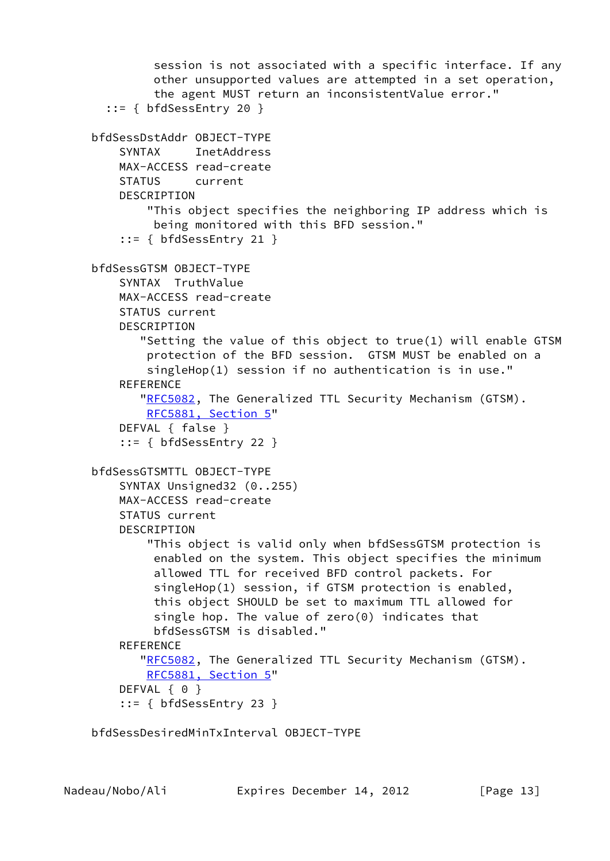```
 session is not associated with a specific interface. If any
          other unsupported values are attempted in a set operation,
          the agent MUST return an inconsistentValue error."
   ::= { bfdSessEntry 20 }
 bfdSessDstAddr OBJECT-TYPE
     SYNTAX InetAddress
     MAX-ACCESS read-create
     STATUS current
    DESCRIPTION
         "This object specifies the neighboring IP address which is
          being monitored with this BFD session."
     ::= { bfdSessEntry 21 }
 bfdSessGTSM OBJECT-TYPE
     SYNTAX TruthValue
     MAX-ACCESS read-create
     STATUS current
     DESCRIPTION
        "Setting the value of this object to true(1) will enable GTSM
         protection of the BFD session. GTSM MUST be enabled on a
         singleHop(1) session if no authentication is in use."
    REFERENCE
       "RFC5082, The Generalized TTL Security Mechanism (GTSM).
         RFC5881, Section 5"
     DEFVAL { false }
     ::= { bfdSessEntry 22 }
 bfdSessGTSMTTL OBJECT-TYPE
     SYNTAX Unsigned32 (0..255)
     MAX-ACCESS read-create
     STATUS current
     DESCRIPTION
         "This object is valid only when bfdSessGTSM protection is
          enabled on the system. This object specifies the minimum
          allowed TTL for received BFD control packets. For
          singleHop(1) session, if GTSM protection is enabled,
          this object SHOULD be set to maximum TTL allowed for
          single hop. The value of zero(0) indicates that
          bfdSessGTSM is disabled."
     REFERENCE
       "RFC5082, The Generalized TTL Security Mechanism (GTSM).
         RFC5881, Section 5"
    DEFVAL { 0 }
     ::= { bfdSessEntry 23 }
```
bfdSessDesiredMinTxInterval OBJECT-TYPE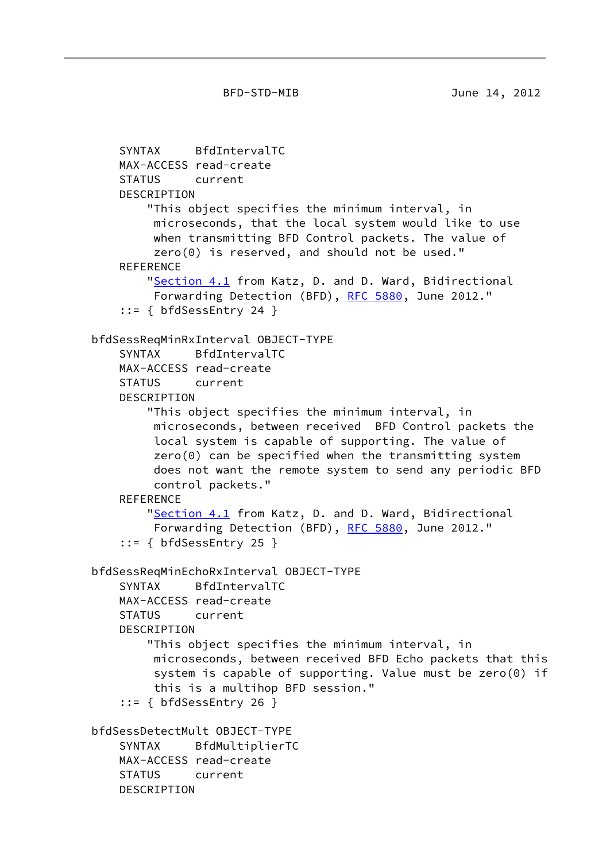```
 SYNTAX BfdIntervalTC
    MAX-ACCESS read-create
    STATUS current
    DESCRIPTION
        "This object specifies the minimum interval, in
         microseconds, that the local system would like to use
         when transmitting BFD Control packets. The value of
         zero(0) is reserved, and should not be used."
   REFERENCE
       "Section 4.1 from Katz, D. and D. Ward, Bidirectional
         RFC 5880, June 2012."
     ::= { bfdSessEntry 24 }
 bfdSessReqMinRxInterval OBJECT-TYPE
    SYNTAX BfdIntervalTC
    MAX-ACCESS read-create
    STATUS current
    DESCRIPTION
        "This object specifies the minimum interval, in
         microseconds, between received BFD Control packets the
         local system is capable of supporting. The value of
         zero(0) can be specified when the transmitting system
         does not want the remote system to send any periodic BFD
         control packets."
   REFERENCE
        "Section 4.1 from Katz, D. and D. Ward, Bidirectional
         RFC 5880, June 2012."
     ::= { bfdSessEntry 25 }
 bfdSessReqMinEchoRxInterval OBJECT-TYPE
    SYNTAX BfdIntervalTC
    MAX-ACCESS read-create
    STATUS current
    DESCRIPTION
        "This object specifies the minimum interval, in
         microseconds, between received BFD Echo packets that this
         system is capable of supporting. Value must be zero(0) if
         this is a multihop BFD session."
     ::= { bfdSessEntry 26 }
 bfdSessDetectMult OBJECT-TYPE
    SYNTAX BfdMultiplierTC
    MAX-ACCESS read-create
    STATUS current
    DESCRIPTION
```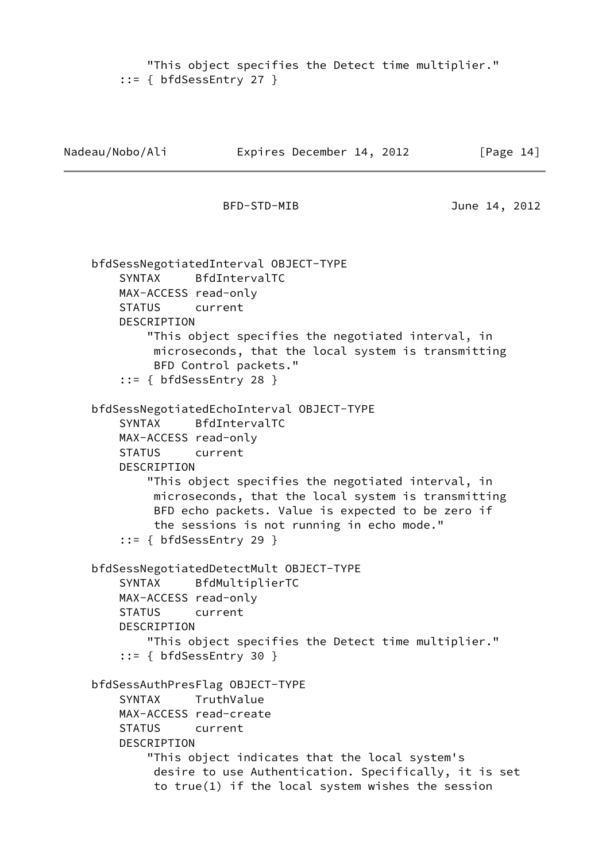```
 "This object specifies the Detect time multiplier."
 ::= { bfdSessEntry 27 }
```

```
Nadeau/Nobo/Ali Expires December 14, 2012 [Page 14]
                      BFD-STD-MIB June 14, 2012
     bfdSessNegotiatedInterval OBJECT-TYPE
        SYNTAX BfdIntervalTC
        MAX-ACCESS read-only
        STATUS current
        DESCRIPTION
            "This object specifies the negotiated interval, in
             microseconds, that the local system is transmitting
             BFD Control packets."
         ::= { bfdSessEntry 28 }
     bfdSessNegotiatedEchoInterval OBJECT-TYPE
        SYNTAX BfdIntervalTC
        MAX-ACCESS read-only
        STATUS current
        DESCRIPTION
             "This object specifies the negotiated interval, in
             microseconds, that the local system is transmitting
             BFD echo packets. Value is expected to be zero if
             the sessions is not running in echo mode."
         ::= { bfdSessEntry 29 }
     bfdSessNegotiatedDetectMult OBJECT-TYPE
        SYNTAX BfdMultiplierTC
        MAX-ACCESS read-only
        STATUS current
        DESCRIPTION
            "This object specifies the Detect time multiplier."
         ::= { bfdSessEntry 30 }
     bfdSessAuthPresFlag OBJECT-TYPE
        SYNTAX TruthValue
        MAX-ACCESS read-create
        STATUS current
        DESCRIPTION
            "This object indicates that the local system's
             desire to use Authentication. Specifically, it is set
             to true(1) if the local system wishes the session
```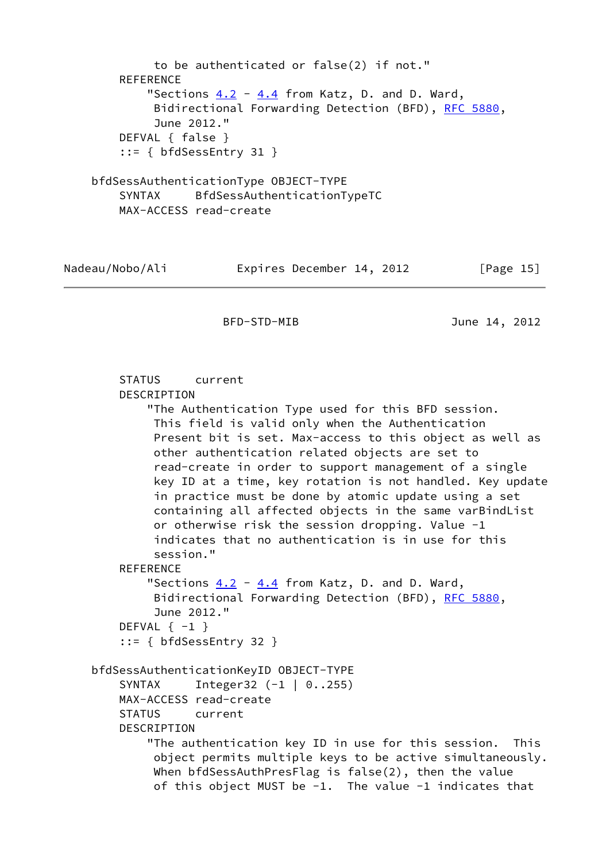```
 to be authenticated or false(2) if not."
        REFERENCE
           "Sections 4.2 4.4 from Katz, D. and D. Ward,
             Bidirectional Forwarding Detection (BFD), RFC 5880,
             June 2012."
        DEFVAL { false }
        ::= { bfdSessEntry 31 }
    bfdSessAuthenticationType OBJECT-TYPE
        SYNTAX BfdSessAuthenticationTypeTC
        MAX-ACCESS read-create
Nadeau/Nobo/Ali     Expires December 14, 2012 [Page 15]
                      BFD-STD-MIB June 14, 2012
        STATUS current
        DESCRIPTION
            "The Authentication Type used for this BFD session.
             This field is valid only when the Authentication
             Present bit is set. Max-access to this object as well as
             other authentication related objects are set to
             read-create in order to support management of a single
             key ID at a time, key rotation is not handled. Key update
             in practice must be done by atomic update using a set
             containing all affected objects in the same varBindList
             or otherwise risk the session dropping. Value -1
             indicates that no authentication is in use for this
             session."
       REFERENCE
           "Sections 4.2 4.4 from Katz, D. and D. Ward,
            RFC 5880,
             June 2012."
       DEFVAL \{-1\} ::= { bfdSessEntry 32 }
    bfdSessAuthenticationKeyID OBJECT-TYPE
        SYNTAX Integer32 (-1 | 0..255)
        MAX-ACCESS read-create
        STATUS current
        DESCRIPTION
            "The authentication key ID in use for this session. This
             object permits multiple keys to be active simultaneously.
             When bfdSessAuthPresFlag is false(2), then the value
             of this object MUST be -1. The value -1 indicates that
```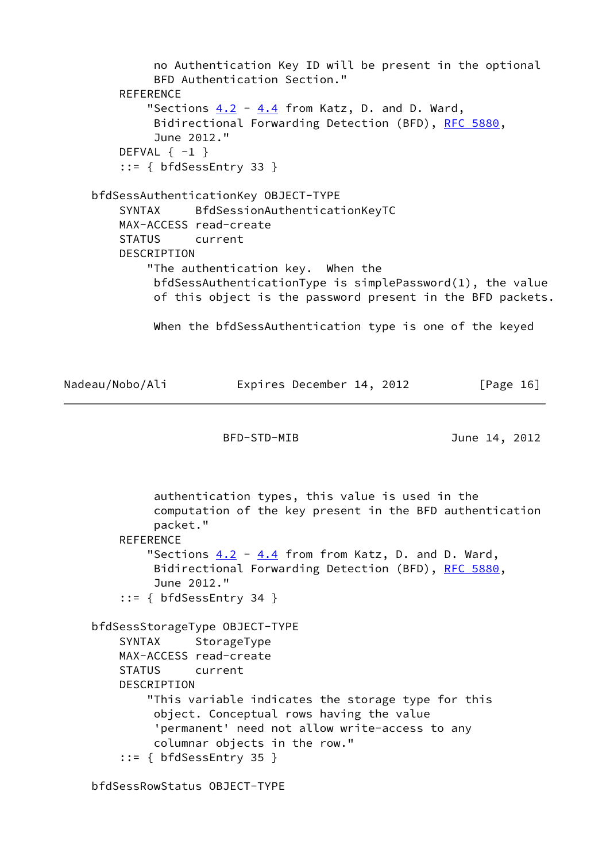no Authentication Key ID will be present in the optional BFD Authentication Section." REFERENCE "Sections  $4.2 - 4.4$  $4.2 - 4.4$  $4.2 - 4.4$  from Katz, D. and D. Ward, Bidirectional Forwarding Detection (BFD), [RFC 5880,](https://datatracker.ietf.org/doc/pdf/rfc5880) June 2012." DEFVAL  $\{-1\}$  ::= { bfdSessEntry 33 } bfdSessAuthenticationKey OBJECT-TYPE SYNTAX BfdSessionAuthenticationKeyTC MAX-ACCESS read-create STATUS current DESCRIPTION "The authentication key. When the bfdSessAuthenticationType is simplePassword(1), the value of this object is the password present in the BFD packets. When the bfdSessAuthentication type is one of the keyed Nadeau/Nobo/Ali Expires December 14, 2012 [Page 16] BFD-STD-MIB June 14, 2012 authentication types, this value is used in the computation of the key present in the BFD authentication packet." **REFERENCE** "Sections  $4.2 - 4.4$  $4.2 - 4.4$  $4.2 - 4.4$  from from Katz, D. and D. Ward, Bidirectional Forwarding Detection (BFD), [RFC 5880,](https://datatracker.ietf.org/doc/pdf/rfc5880) June 2012." ::= { bfdSessEntry 34 } bfdSessStorageType OBJECT-TYPE SYNTAX StorageType MAX-ACCESS read-create STATUS current DESCRIPTION "This variable indicates the storage type for this object. Conceptual rows having the value 'permanent' need not allow write-access to any columnar objects in the row."

```
 ::= { bfdSessEntry 35 }
```
bfdSessRowStatus OBJECT-TYPE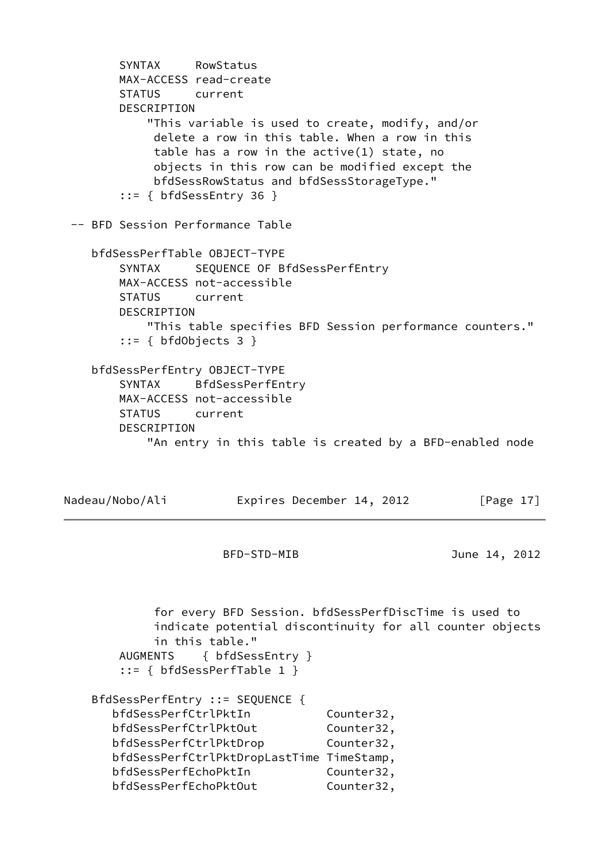```
 SYNTAX RowStatus
        MAX-ACCESS read-create
        STATUS current
        DESCRIPTION
            "This variable is used to create, modify, and/or
             delete a row in this table. When a row in this
             table has a row in the active(1) state, no
             objects in this row can be modified except the
             bfdSessRowStatus and bfdSessStorageType."
        ::= { bfdSessEntry 36 }
  -- BFD Session Performance Table
    bfdSessPerfTable OBJECT-TYPE
        SYNTAX SEQUENCE OF BfdSessPerfEntry
        MAX-ACCESS not-accessible
        STATUS current
        DESCRIPTION
            "This table specifies BFD Session performance counters."
        ::= { bfdObjects 3 }
    bfdSessPerfEntry OBJECT-TYPE
        SYNTAX BfdSessPerfEntry
        MAX-ACCESS not-accessible
        STATUS current
        DESCRIPTION
            "An entry in this table is created by a BFD-enabled node
Nadeau/Nobo/Ali     Expires December 14, 2012   [Page 17]
                      BFD-STD-MIB June 14, 2012
             for every BFD Session. bfdSessPerfDiscTime is used to
             indicate potential discontinuity for all counter objects
             in this table."
        AUGMENTS { bfdSessEntry }
        ::= { bfdSessPerfTable 1 }
    BfdSessPerfEntry ::= SEQUENCE {
       bfdSessPerfCtrlPktIn Counter32,
      bfdSessPerfCtrlPktOut Counter32,
      bfdSessPerfCtrlPktDrop Counter32,
       bfdSessPerfCtrlPktDropLastTime TimeStamp,
      bfdSessPerfEchoPktIn Counter32,
      bfdSessPerfEchoPktOut Counter32,
```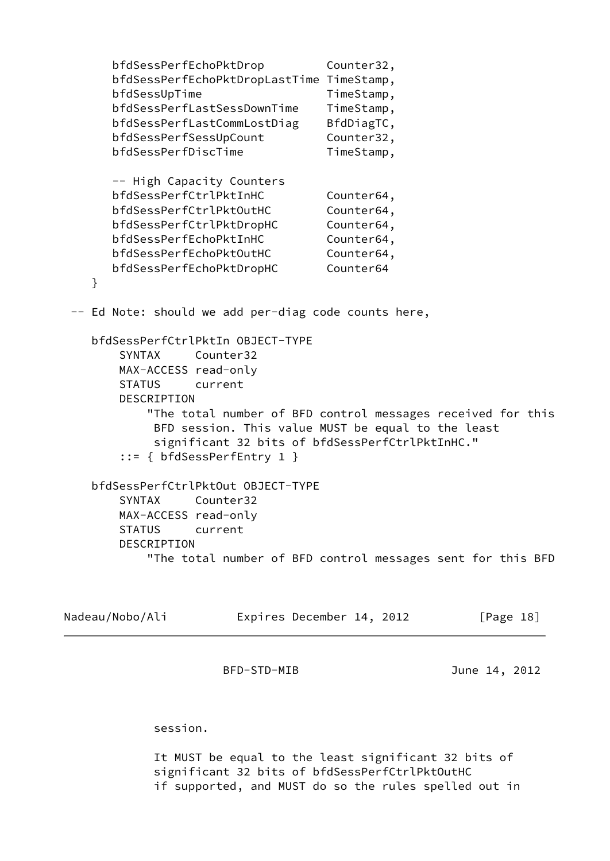```
 bfdSessPerfEchoPktDrop Counter32,
      bfdSessPerfEchoPktDropLastTime TimeStamp,
     bfdSessUpTime TimeStamp,
      bfdSessPerfLastSessDownTime TimeStamp,
     bfdSessPerfLastCommLostDiag BfdDiagTC,
     bfdSessPerfSessUpCount Counter32,
     bfdSessPerfDiscTime TimeStamp,
      -- High Capacity Counters
      bfdSessPerfCtrlPktInHC Counter64,
     bfdSessPerfCtrlPktOutHC Counter64,
      bfdSessPerfCtrlPktDropHC Counter64,
     bfdSessPerfEchoPktInHC Counter64,
     bfdSessPerfEchoPktOutHC Counter64,
      bfdSessPerfEchoPktDropHC Counter64
   }
 -- Ed Note: should we add per-diag code counts here,
   bfdSessPerfCtrlPktIn OBJECT-TYPE
       SYNTAX Counter32
       MAX-ACCESS read-only
       STATUS current
       DESCRIPTION
           "The total number of BFD control messages received for this
            BFD session. This value MUST be equal to the least
            significant 32 bits of bfdSessPerfCtrlPktInHC."
       ::= { bfdSessPerfEntry 1 }
   bfdSessPerfCtrlPktOut OBJECT-TYPE
       SYNTAX Counter32
       MAX-ACCESS read-only
       STATUS current
       DESCRIPTION
           "The total number of BFD control messages sent for this BFD
```

| Nadeau/Nobo/Ali | Expires December 14, 2012 | [Page 18] |
|-----------------|---------------------------|-----------|
|                 |                           |           |

session.

 It MUST be equal to the least significant 32 bits of significant 32 bits of bfdSessPerfCtrlPktOutHC if supported, and MUST do so the rules spelled out in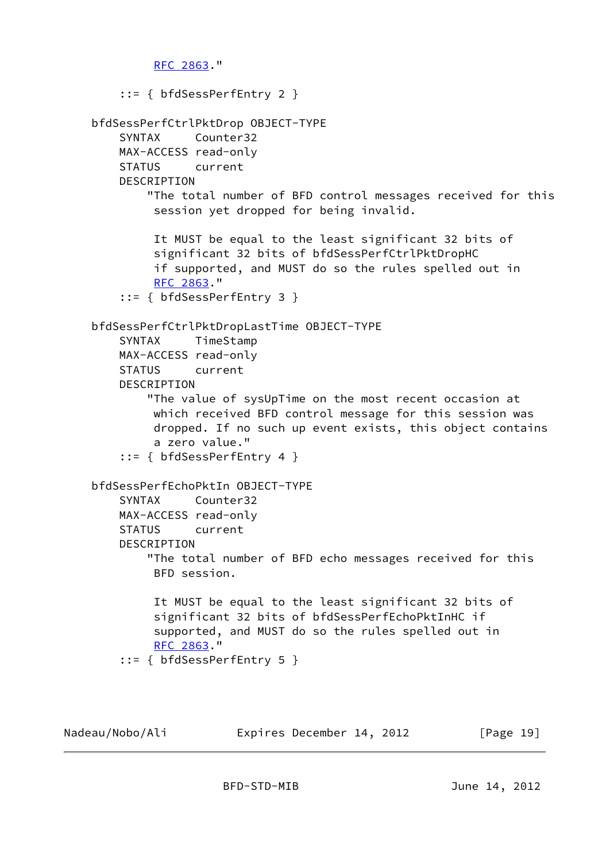```
 RFC 2863."
     ::= { bfdSessPerfEntry 2 }
 bfdSessPerfCtrlPktDrop OBJECT-TYPE
     SYNTAX Counter32
     MAX-ACCESS read-only
     STATUS current
     DESCRIPTION
         "The total number of BFD control messages received for this
          session yet dropped for being invalid.
          It MUST be equal to the least significant 32 bits of
          significant 32 bits of bfdSessPerfCtrlPktDropHC
          if supported, and MUST do so the rules spelled out in
          RFC 2863."
     ::= { bfdSessPerfEntry 3 }
 bfdSessPerfCtrlPktDropLastTime OBJECT-TYPE
     SYNTAX TimeStamp
     MAX-ACCESS read-only
     STATUS current
     DESCRIPTION
         "The value of sysUpTime on the most recent occasion at
          which received BFD control message for this session was
          dropped. If no such up event exists, this object contains
          a zero value."
     ::= { bfdSessPerfEntry 4 }
 bfdSessPerfEchoPktIn OBJECT-TYPE
     SYNTAX Counter32
     MAX-ACCESS read-only
     STATUS current
     DESCRIPTION
         "The total number of BFD echo messages received for this
          BFD session.
          It MUST be equal to the least significant 32 bits of
          significant 32 bits of bfdSessPerfEchoPktInHC if
          supported, and MUST do so the rules spelled out in
          RFC 2863."
     ::= { bfdSessPerfEntry 5 }
```
Nadeau/Nobo/Ali Expires December 14, 2012 [Page 19]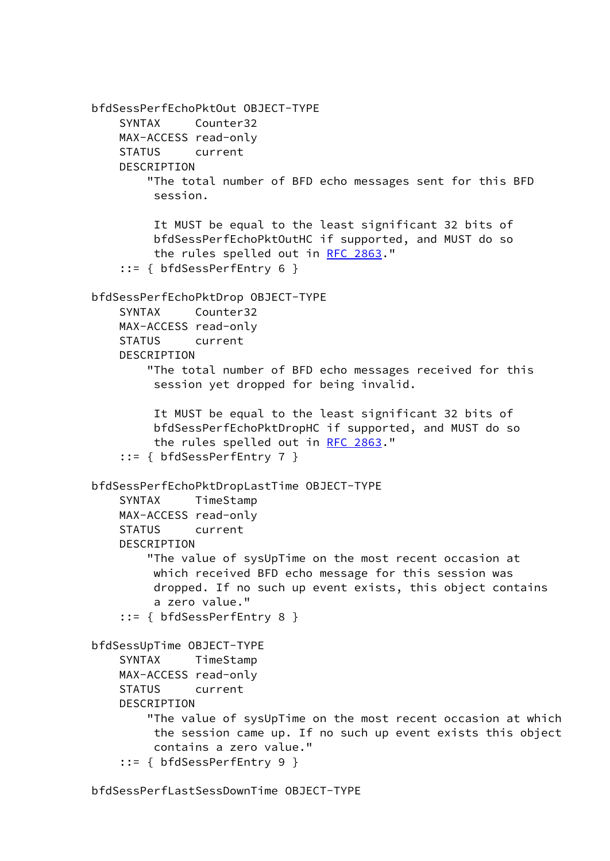```
 bfdSessPerfEchoPktOut OBJECT-TYPE
     SYNTAX Counter32
    MAX-ACCESS read-only
    STATUS current
    DESCRIPTION
        "The total number of BFD echo messages sent for this BFD
         session.
         It MUST be equal to the least significant 32 bits of
         bfdSessPerfEchoPktOutHC if supported, and MUST do so
        RFC 2863."
     ::= { bfdSessPerfEntry 6 }
 bfdSessPerfEchoPktDrop OBJECT-TYPE
    SYNTAX Counter32
    MAX-ACCESS read-only
    STATUS current
    DESCRIPTION
         "The total number of BFD echo messages received for this
         session yet dropped for being invalid.
         It MUST be equal to the least significant 32 bits of
         bfdSessPerfEchoPktDropHC if supported, and MUST do so
        RFC 2863."
     ::= { bfdSessPerfEntry 7 }
 bfdSessPerfEchoPktDropLastTime OBJECT-TYPE
    SYNTAX TimeStamp
    MAX-ACCESS read-only
    STATUS current
    DESCRIPTION
         "The value of sysUpTime on the most recent occasion at
         which received BFD echo message for this session was
         dropped. If no such up event exists, this object contains
         a zero value."
     ::= { bfdSessPerfEntry 8 }
 bfdSessUpTime OBJECT-TYPE
     SYNTAX TimeStamp
    MAX-ACCESS read-only
    STATUS current
   DESCRIPTION
        "The value of sysUpTime on the most recent occasion at which
         the session came up. If no such up event exists this object
         contains a zero value."
     ::= { bfdSessPerfEntry 9 }
```

```
 bfdSessPerfLastSessDownTime OBJECT-TYPE
```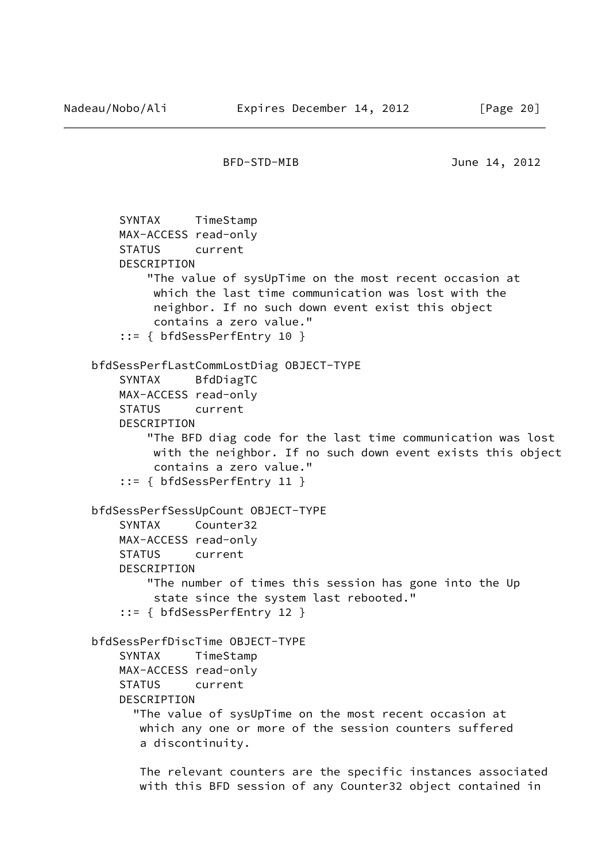```
 SYNTAX TimeStamp
    MAX-ACCESS read-only
     STATUS current
     DESCRIPTION
         "The value of sysUpTime on the most recent occasion at
          which the last time communication was lost with the
          neighbor. If no such down event exist this object
          contains a zero value."
     ::= { bfdSessPerfEntry 10 }
 bfdSessPerfLastCommLostDiag OBJECT-TYPE
     SYNTAX BfdDiagTC
     MAX-ACCESS read-only
     STATUS current
     DESCRIPTION
         "The BFD diag code for the last time communication was lost
          with the neighbor. If no such down event exists this object
          contains a zero value."
     ::= { bfdSessPerfEntry 11 }
 bfdSessPerfSessUpCount OBJECT-TYPE
     SYNTAX Counter32
     MAX-ACCESS read-only
     STATUS current
     DESCRIPTION
         "The number of times this session has gone into the Up
          state since the system last rebooted."
     ::= { bfdSessPerfEntry 12 }
 bfdSessPerfDiscTime OBJECT-TYPE
     SYNTAX TimeStamp
    MAX-ACCESS read-only
     STATUS current
     DESCRIPTION
       "The value of sysUpTime on the most recent occasion at
        which any one or more of the session counters suffered
        a discontinuity.
        The relevant counters are the specific instances associated
```
with this BFD session of any Counter32 object contained in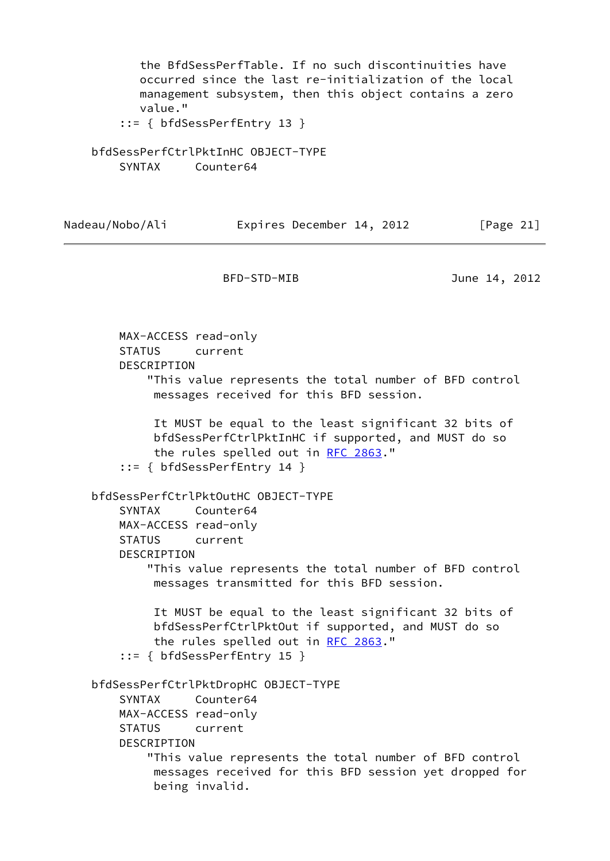the BfdSessPerfTable. If no such discontinuities have occurred since the last re-initialization of the local management subsystem, then this object contains a zero value."

::= { bfdSessPerfEntry 13 }

 bfdSessPerfCtrlPktInHC OBJECT-TYPE SYNTAX Counter64

Nadeau/Nobo/Ali Expires December 14, 2012 [Page 21]

BFD-STD-MIB June 14, 2012

 MAX-ACCESS read-only STATUS current DESCRIPTION "This value represents the total number of BFD control messages received for this BFD session. It MUST be equal to the least significant 32 bits of bfdSessPerfCtrlPktInHC if supported, and MUST do so the rules spelled out in [RFC 2863.](https://datatracker.ietf.org/doc/pdf/rfc2863)" ::= { bfdSessPerfEntry 14 } bfdSessPerfCtrlPktOutHC OBJECT-TYPE SYNTAX Counter64 MAX-ACCESS read-only STATUS current DESCRIPTION "This value represents the total number of BFD control messages transmitted for this BFD session. It MUST be equal to the least significant 32 bits of bfdSessPerfCtrlPktOut if supported, and MUST do so the rules spelled out in [RFC 2863.](https://datatracker.ietf.org/doc/pdf/rfc2863)" ::= { bfdSessPerfEntry 15 } bfdSessPerfCtrlPktDropHC OBJECT-TYPE SYNTAX Counter64 MAX-ACCESS read-only STATUS current DESCRIPTION "This value represents the total number of BFD control messages received for this BFD session yet dropped for being invalid.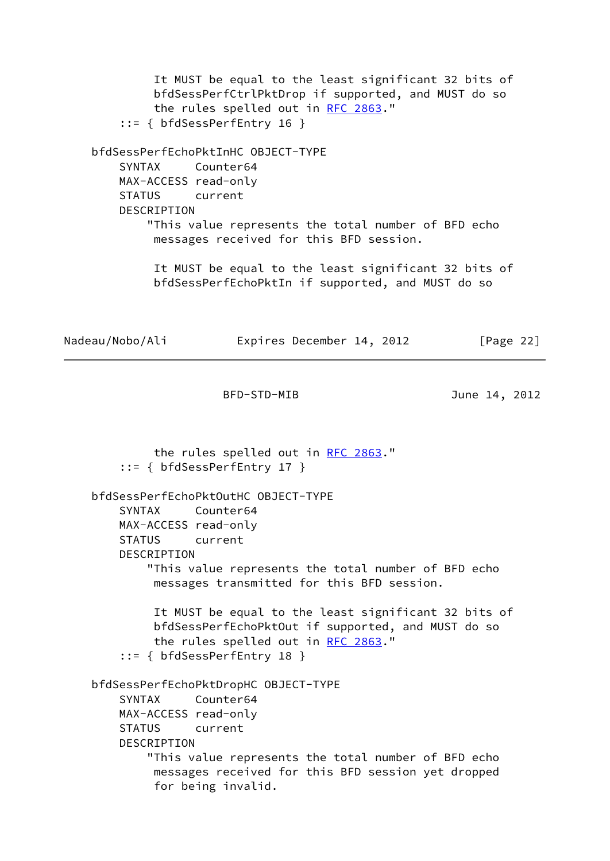It MUST be equal to the least significant 32 bits of bfdSessPerfCtrlPktDrop if supported, and MUST do so the rules spelled out in [RFC 2863.](https://datatracker.ietf.org/doc/pdf/rfc2863)" ::= { bfdSessPerfEntry 16 } bfdSessPerfEchoPktInHC OBJECT-TYPE SYNTAX Counter64 MAX-ACCESS read-only STATUS current DESCRIPTION "This value represents the total number of BFD echo messages received for this BFD session. It MUST be equal to the least significant 32 bits of bfdSessPerfEchoPktIn if supported, and MUST do so Nadeau/Nobo/Ali Expires December 14, 2012 [Page 22] BFD-STD-MIB June 14, 2012 the rules spelled out in [RFC 2863.](https://datatracker.ietf.org/doc/pdf/rfc2863)" ::= { bfdSessPerfEntry 17 } bfdSessPerfEchoPktOutHC OBJECT-TYPE SYNTAX Counter64 MAX-ACCESS read-only STATUS current DESCRIPTION "This value represents the total number of BFD echo messages transmitted for this BFD session. It MUST be equal to the least significant 32 bits of bfdSessPerfEchoPktOut if supported, and MUST do so the rules spelled out in [RFC 2863.](https://datatracker.ietf.org/doc/pdf/rfc2863)" ::= { bfdSessPerfEntry 18 } bfdSessPerfEchoPktDropHC OBJECT-TYPE SYNTAX Counter64 MAX-ACCESS read-only STATUS current DESCRIPTION "This value represents the total number of BFD echo

 messages received for this BFD session yet dropped for being invalid.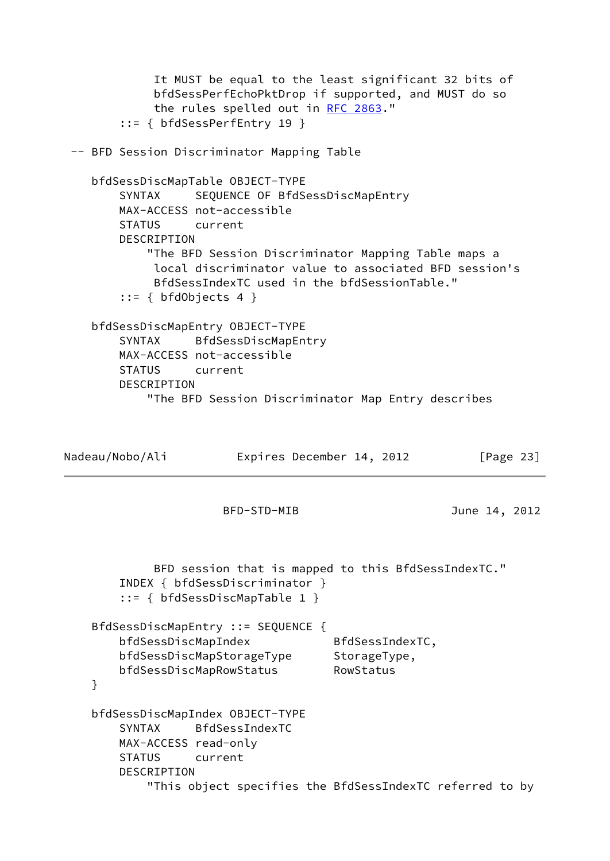It MUST be equal to the least significant 32 bits of bfdSessPerfEchoPktDrop if supported, and MUST do so the rules spelled out in [RFC 2863.](https://datatracker.ietf.org/doc/pdf/rfc2863)" ::= { bfdSessPerfEntry 19 } -- BFD Session Discriminator Mapping Table bfdSessDiscMapTable OBJECT-TYPE SYNTAX SEQUENCE OF BfdSessDiscMapEntry MAX-ACCESS not-accessible STATUS current DESCRIPTION "The BFD Session Discriminator Mapping Table maps a local discriminator value to associated BFD session's BfdSessIndexTC used in the bfdSessionTable."  $::= { bfdObjects 4 }$  bfdSessDiscMapEntry OBJECT-TYPE SYNTAX BfdSessDiscMapEntry MAX-ACCESS not-accessible STATUS current DESCRIPTION "The BFD Session Discriminator Map Entry describes Nadeau/Nobo/Ali **Expires December 14, 2012** [Page 23] BFD-STD-MIB June 14, 2012 BFD session that is mapped to this BfdSessIndexTC." INDEX { bfdSessDiscriminator } ::= { bfdSessDiscMapTable 1 } BfdSessDiscMapEntry ::= SEQUENCE { bfdSessDiscMapIndex BfdSessIndexTC, bfdSessDiscMapStorageType StorageType, bfdSessDiscMapRowStatus RowStatus } bfdSessDiscMapIndex OBJECT-TYPE SYNTAX BfdSessIndexTC MAX-ACCESS read-only STATUS current DESCRIPTION "This object specifies the BfdSessIndexTC referred to by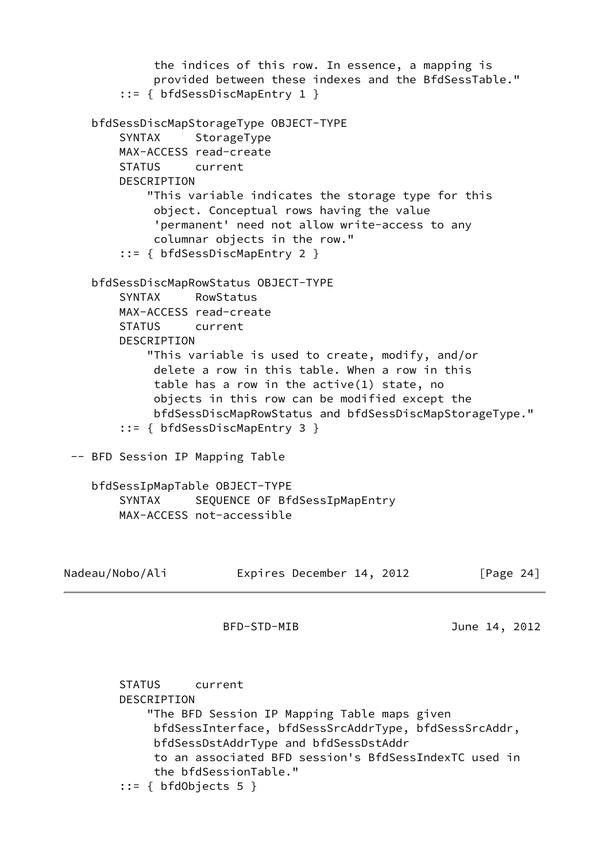the indices of this row. In essence, a mapping is provided between these indexes and the BfdSessTable." ::= { bfdSessDiscMapEntry 1 } bfdSessDiscMapStorageType OBJECT-TYPE SYNTAX StorageType MAX-ACCESS read-create STATUS current DESCRIPTION "This variable indicates the storage type for this object. Conceptual rows having the value 'permanent' need not allow write-access to any columnar objects in the row." ::= { bfdSessDiscMapEntry 2 } bfdSessDiscMapRowStatus OBJECT-TYPE SYNTAX RowStatus MAX-ACCESS read-create STATUS current DESCRIPTION "This variable is used to create, modify, and/or delete a row in this table. When a row in this table has a row in the active(1) state, no objects in this row can be modified except the bfdSessDiscMapRowStatus and bfdSessDiscMapStorageType." ::= { bfdSessDiscMapEntry 3 } -- BFD Session IP Mapping Table bfdSessIpMapTable OBJECT-TYPE SYNTAX SEQUENCE OF BfdSessIpMapEntry MAX-ACCESS not-accessible Nadeau/Nobo/Ali **Expires December 14, 2012** [Page 24] BFD-STD-MIB June 14, 2012 STATUS current DESCRIPTION "The BFD Session IP Mapping Table maps given bfdSessInterface, bfdSessSrcAddrType, bfdSessSrcAddr, bfdSessDstAddrType and bfdSessDstAddr

 to an associated BFD session's BfdSessIndexTC used in the bfdSessionTable."

::= { bfdObjects 5 }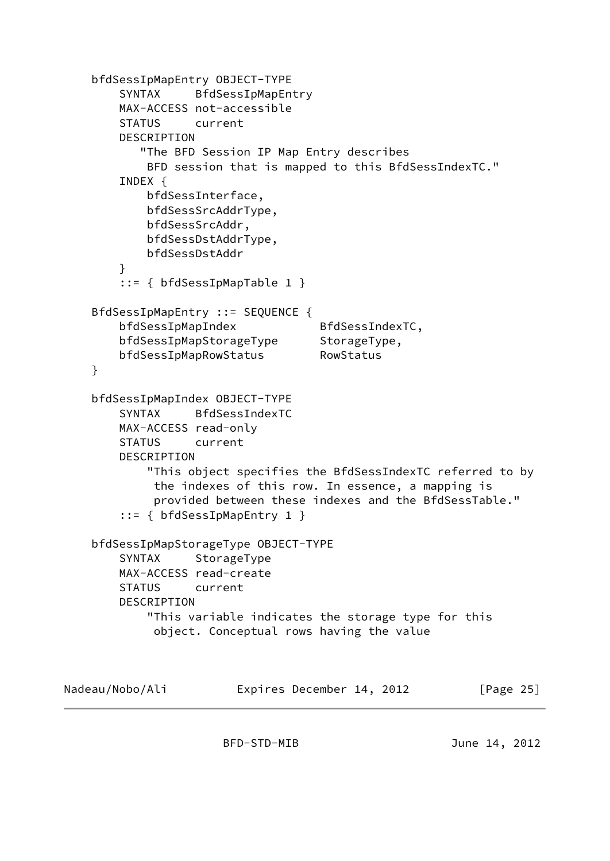```
 bfdSessIpMapEntry OBJECT-TYPE
         SYNTAX BfdSessIpMapEntry
        MAX-ACCESS not-accessible
        STATUS current
        DESCRIPTION
           "The BFD Session IP Map Entry describes
            BFD session that is mapped to this BfdSessIndexTC."
        INDEX {
            bfdSessInterface,
            bfdSessSrcAddrType,
            bfdSessSrcAddr,
            bfdSessDstAddrType,
            bfdSessDstAddr
         }
         ::= { bfdSessIpMapTable 1 }
     BfdSessIpMapEntry ::= SEQUENCE {
       bfdSessIpMapIndex BfdSessIndexTC,
        bfdSessIpMapStorageType StorageType,
        bfdSessIpMapRowStatus RowStatus
     }
     bfdSessIpMapIndex OBJECT-TYPE
        SYNTAX BfdSessIndexTC
        MAX-ACCESS read-only
        STATUS current
        DESCRIPTION
            "This object specifies the BfdSessIndexTC referred to by
             the indexes of this row. In essence, a mapping is
             provided between these indexes and the BfdSessTable."
         ::= { bfdSessIpMapEntry 1 }
     bfdSessIpMapStorageType OBJECT-TYPE
       SYNTAX StorageType
        MAX-ACCESS read-create
        STATUS current
        DESCRIPTION
            "This variable indicates the storage type for this
             object. Conceptual rows having the value
Nadeau/Nobo/Ali Expires December 14, 2012 [Page 25]
```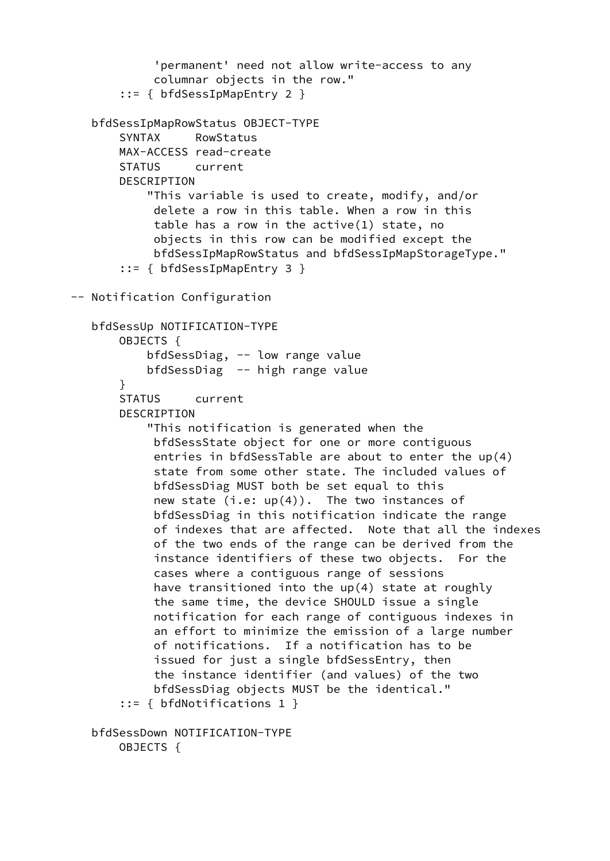```
 'permanent' need not allow write-access to any
             columnar objects in the row."
        ::= { bfdSessIpMapEntry 2 }
    bfdSessIpMapRowStatus OBJECT-TYPE
        SYNTAX RowStatus
        MAX-ACCESS read-create
        STATUS current
        DESCRIPTION
            "This variable is used to create, modify, and/or
             delete a row in this table. When a row in this
             table has a row in the active(1) state, no
             objects in this row can be modified except the
             bfdSessIpMapRowStatus and bfdSessIpMapStorageType."
        ::= { bfdSessIpMapEntry 3 }
 -- Notification Configuration
   bfdSessUp NOTIFICATION-TYPE
        OBJECTS {
            bfdSessDiag, -- low range value
            bfdSessDiag -- high range value
        }
        STATUS current
        DESCRIPTION
            "This notification is generated when the
             bfdSessState object for one or more contiguous
             entries in bfdSessTable are about to enter the up(4)
             state from some other state. The included values of
             bfdSessDiag MUST both be set equal to this
            new state (i.e: up(4)). The two instances of
             bfdSessDiag in this notification indicate the range
             of indexes that are affected. Note that all the indexes
             of the two ends of the range can be derived from the
             instance identifiers of these two objects. For the
             cases where a contiguous range of sessions
             have transitioned into the up(4) state at roughly
             the same time, the device SHOULD issue a single
             notification for each range of contiguous indexes in
             an effort to minimize the emission of a large number
             of notifications. If a notification has to be
             issued for just a single bfdSessEntry, then
             the instance identifier (and values) of the two
             bfdSessDiag objects MUST be the identical."
        ::= { bfdNotifications 1 }
   bfdSessDown NOTIFICATION-TYPE
        OBJECTS {
```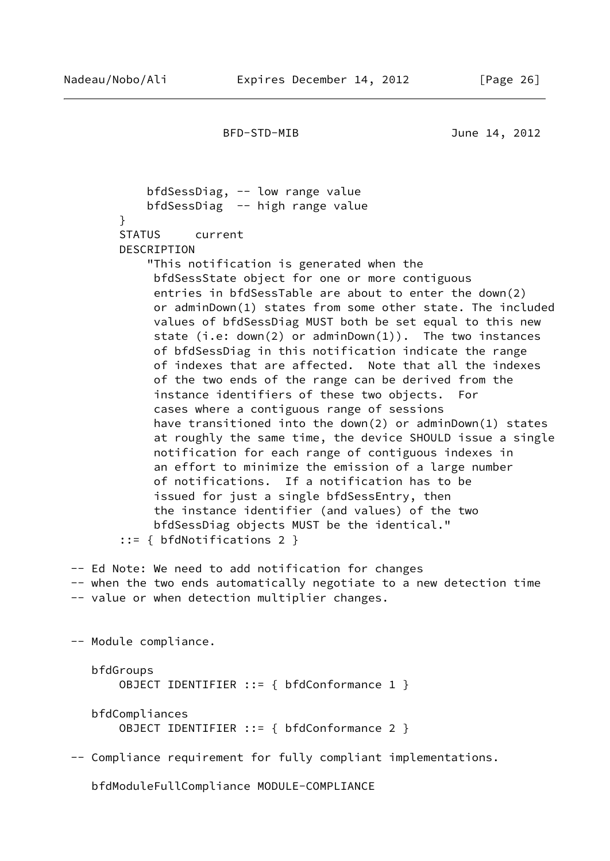bfdSessDiag, -- low range value bfdSessDiag -- high range value } STATUS current DESCRIPTION "This notification is generated when the bfdSessState object for one or more contiguous entries in bfdSessTable are about to enter the down(2) or adminDown(1) states from some other state. The included values of bfdSessDiag MUST both be set equal to this new state (i.e:  $down(2)$  or adminDown $(1)$ ). The two instances of bfdSessDiag in this notification indicate the range of indexes that are affected. Note that all the indexes of the two ends of the range can be derived from the instance identifiers of these two objects. For cases where a contiguous range of sessions have transitioned into the down(2) or adminDown(1) states at roughly the same time, the device SHOULD issue a single notification for each range of contiguous indexes in an effort to minimize the emission of a large number of notifications. If a notification has to be issued for just a single bfdSessEntry, then the instance identifier (and values) of the two bfdSessDiag objects MUST be the identical." ::= { bfdNotifications 2 } -- Ed Note: We need to add notification for changes

 -- when the two ends automatically negotiate to a new detection time -- value or when detection multiplier changes.

-- Module compliance.

 bfdGroups OBJECT IDENTIFIER ::= { bfdConformance 1 }

 bfdCompliances OBJECT IDENTIFIER ::= { bfdConformance 2 }

-- Compliance requirement for fully compliant implementations.

bfdModuleFullCompliance MODULE-COMPLIANCE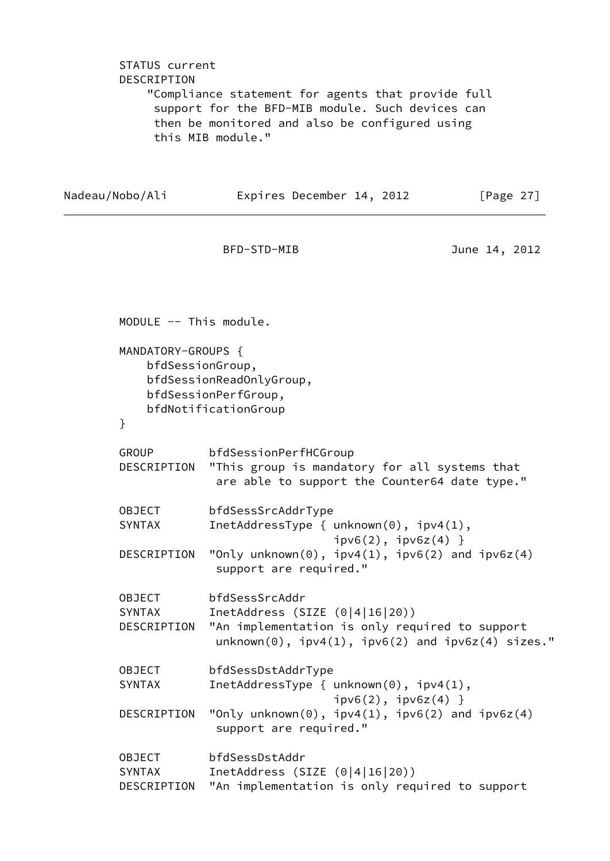STATUS current DESCRIPTION "Compliance statement for agents that provide full support for the BFD-MIB module. Such devices can then be monitored and also be configured using this MIB module."

Nadeau/Nobo/Ali **Expires December 14, 2012** [Page 27]

BFD-STD-MIB June 14, 2012

 MODULE -- This module. MANDATORY-GROUPS { bfdSessionGroup, bfdSessionReadOnlyGroup, bfdSessionPerfGroup, bfdNotificationGroup } GROUP bfdSessionPerfHCGroup DESCRIPTION "This group is mandatory for all systems that are able to support the Counter64 date type." OBJECT bfdSessSrcAddrType SYNTAX InetAddressType { unknown(0), ipv4(1),  $ipv6(2)$ ,  $ipv6z(4)$  } DESCRIPTION "Only unknown(0),  $ipv4(1)$ ,  $ipv6(2)$  and  $ipv6z(4)$  support are required." OBJECT bfdSessSrcAddr SYNTAX InetAddress (SIZE (0|4|16|20)) DESCRIPTION "An implementation is only required to support  $unknown(0)$ ,  $ipv4(1)$ ,  $ipv6(2)$  and  $ipv6z(4)$  sizes." OBJECT bfdSessDstAddrType SYNTAX InetAddressType { unknown(0), ipv4(1),  $ipv6(2)$ ,  $ipv6z(4)$  } DESCRIPTION "Only unknown(0),  $ipv4(1)$ ,  $ipv6(2)$  and  $ipv6z(4)$  support are required." OBJECT bfdSessDstAddr SYNTAX InetAddress (SIZE (0|4|16|20)) DESCRIPTION "An implementation is only required to support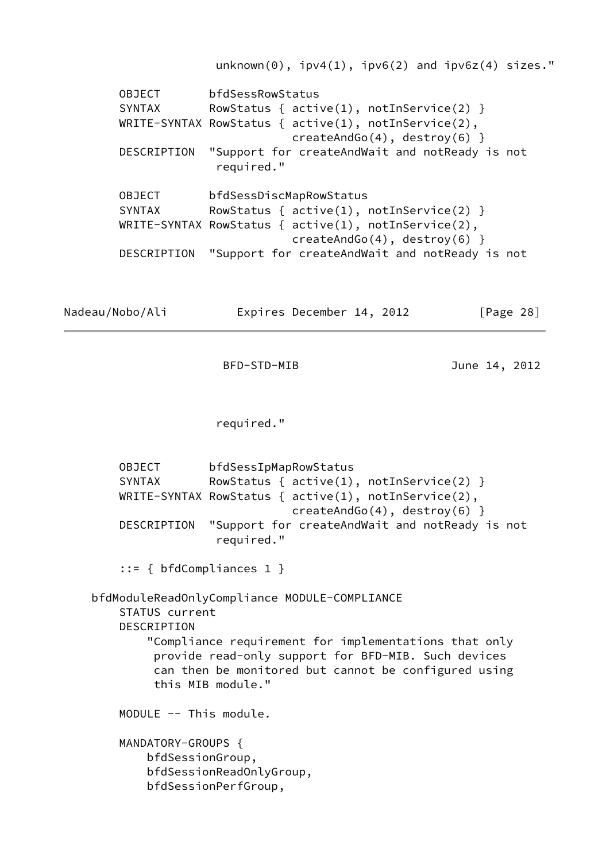$unknown(0)$ ,  $ipv4(1)$ ,  $ipv6(2)$  and  $ipv6z(4)$  sizes." OBJECT bfdSessRowStatus SYNTAX RowStatus {  $active(1)$ ,  $notInService(2)$  } WRITE-SYNTAX RowStatus { active(1), notInService(2), createAndGo(4), destroy(6) } DESCRIPTION "Support for createAndWait and notReady is not required." OBJECT bfdSessDiscMapRowStatus SYNTAX RowStatus {  $active(1)$ ,  $notInService(2)$  } WRITE-SYNTAX RowStatus { active(1), notInService(2), createAndGo(4), destroy(6) } DESCRIPTION "Support for createAndWait and notReady is not Nadeau/Nobo/Ali Expires December 14, 2012 [Page 28]

BFD-STD-MIB June 14, 2012

required."

 OBJECT bfdSessIpMapRowStatus SYNTAX RowStatus {  $active(1)$ ,  $notInService(2)$  } WRITE-SYNTAX RowStatus { active(1), notInService(2), createAndGo(4), destroy(6) } DESCRIPTION "Support for createAndWait and notReady is not required."

::= { bfdCompliances 1 }

bfdModuleReadOnlyCompliance MODULE-COMPLIANCE

 STATUS current DESCRIPTION

 "Compliance requirement for implementations that only provide read-only support for BFD-MIB. Such devices can then be monitored but cannot be configured using this MIB module."

MODULE -- This module.

 MANDATORY-GROUPS { bfdSessionGroup, bfdSessionReadOnlyGroup, bfdSessionPerfGroup,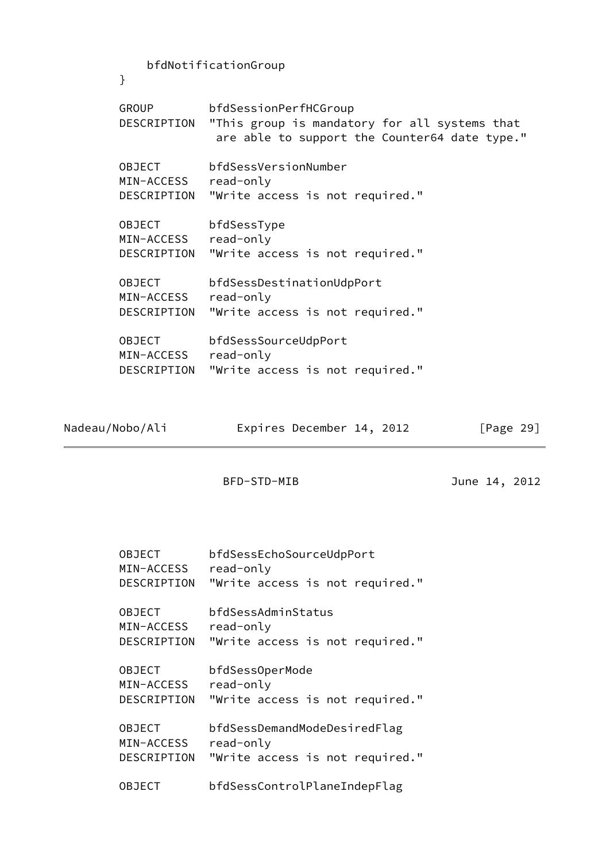| }                                          | bfdNotificationGroup                                                                                                    |
|--------------------------------------------|-------------------------------------------------------------------------------------------------------------------------|
| GROUP<br>DESCRIPTION                       | bfdSessionPerfHCGroup<br>"This group is mandatory for all systems that<br>are able to support the Counter64 date type." |
| <b>OBJECT</b><br>MIN-ACCESS<br>DESCRIPTION | bfdSessVersionNumber<br>read-only<br>"Write access is not required."                                                    |
| <b>OBJECT</b><br>MIN-ACCESS<br>DESCRIPTION | bfdSessType<br>read-only<br>"Write access is not required."                                                             |
| <b>OBJECT</b><br>MIN-ACCESS<br>DESCRIPTION | bfdSessDestinationUdpPort<br>read-only<br>"Write access is not required."                                               |
| <b>OBJECT</b><br>MIN-ACCESS<br>DESCRIPTION | bfdSessSourceUdpPort<br>read-only<br>"Write access is not required."                                                    |

| Nadeau/Nobo/Ali |  | Expires December 14, 2012 |  | [Page 29] |  |
|-----------------|--|---------------------------|--|-----------|--|
|-----------------|--|---------------------------|--|-----------|--|

```
 BFD-STD-MIB June 14, 2012
```

| OBJECT        | bfdSessEchoSourceUdpPort        |
|---------------|---------------------------------|
| MIN-ACCESS    | read-only                       |
| DESCRIPTION   | "Write access is not required." |
| <b>OBJECT</b> | bfdSessAdminStatus              |
| MIN-ACCESS    | read-only                       |
| DESCRIPTION   | "Write access is not required." |
| <b>OBJECT</b> | bfdSessOperMode                 |
| MIN-ACCESS    | read-only                       |
| DESCRIPTION   | "Write access is not required." |
| <b>OBJECT</b> | bfdSessDemandModeDesiredFlag    |
| MIN-ACCESS    | read-only                       |
| DESCRIPTION   | "Write access is not required." |
| OBJECT        | bfdSessControlPlaneIndepFlag    |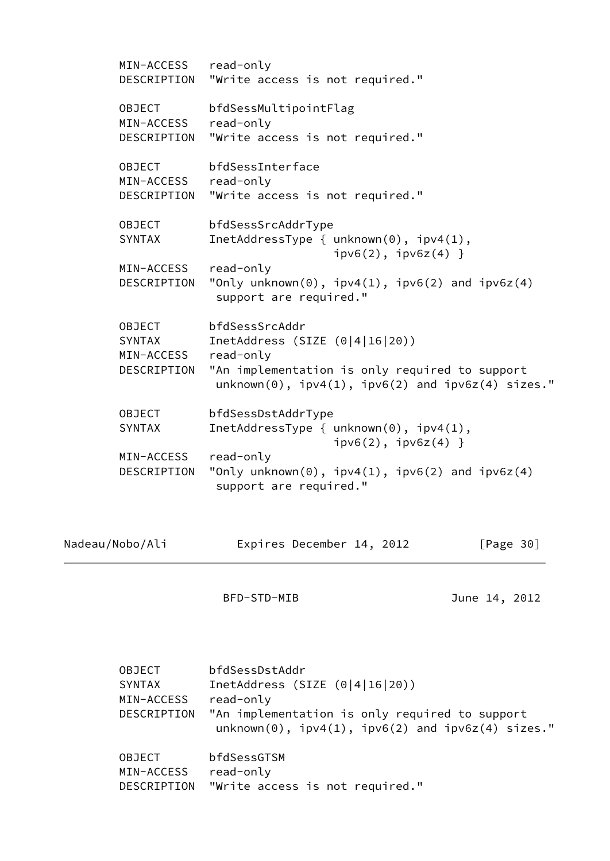| MIN-ACCESS read-only<br>DESCRIPTION | "Write access is not required."                                                                               |
|-------------------------------------|---------------------------------------------------------------------------------------------------------------|
| <b>OBJECT</b><br>MIN-ACCESS         | bfdSessMultipointFlag<br>read-only                                                                            |
| DESCRIPTION                         | "Write access is not required."                                                                               |
| OBJECT                              | bfdSessInterface                                                                                              |
| MIN-ACCESS                          | read-only                                                                                                     |
| DESCRIPTION                         | "Write access is not required."                                                                               |
| OBJECT                              | bfdSessSrcAddrType                                                                                            |
| SYNTAX                              | InetAddressType { $unknown(0)$ , $ipv4(1)$ ,<br>$ipv6(2)$ , $ipv6z(4)$ }                                      |
| MIN-ACCESS                          | read-only                                                                                                     |
| DESCRIPTION                         | "Only unknown $(0)$ , ipv4 $(1)$ , ipv6 $(2)$ and ipv6z $(4)$<br>support are required."                       |
| <b>OBJECT</b>                       | bfdSessSrcAddr                                                                                                |
| SYNTAX                              | InetAddress (SIZE $(0 4 16 20)$ )                                                                             |
| MIN-ACCESS                          | read-only                                                                                                     |
| DESCRIPTION                         | "An implementation is only required to support<br>$unknown(0)$ , $ipv4(1)$ , $ipv6(2)$ and $ipv6z(4)$ sizes." |
| OBJECT                              | bfdSessDstAddrType                                                                                            |
| <b>SYNTAX</b>                       | InetAddressType { $unknown(0)$ , $ipv4(1)$ ,<br>$ipv6(2)$ , $ipv6z(4)$ }                                      |
| MIN-ACCESS                          | read-only                                                                                                     |
| DESCRIPTION                         | "Only unknown $(0)$ , ipv4 $(1)$ , ipv6 $(2)$ and ipv6z $(4)$<br>support are required."                       |
|                                     |                                                                                                               |
|                                     |                                                                                                               |

<span id="page-34-0"></span>Nadeau/Nobo/Ali Expires December 14, 2012 [Page 30]

BFD-STD-MIB June 14, 2012

| <b>OBJECT</b> | bfdSessDstAddr                                                                                        |
|---------------|-------------------------------------------------------------------------------------------------------|
| <b>SYNTAX</b> | InetAddress (SIZE $(0 4 16 20)$ )                                                                     |
| MIN-ACCESS    | read-only                                                                                             |
| DESCRIPTION   | "An implementation is only required to support<br>$unknown(0), ipv4(1), ipv6(2) and ipv6z(4) sizes."$ |
| <b>OBJECT</b> | bfdSessGTSM                                                                                           |
| MIN-ACCESS    | read-only                                                                                             |
| DESCRIPTION   | "Write access is not required."                                                                       |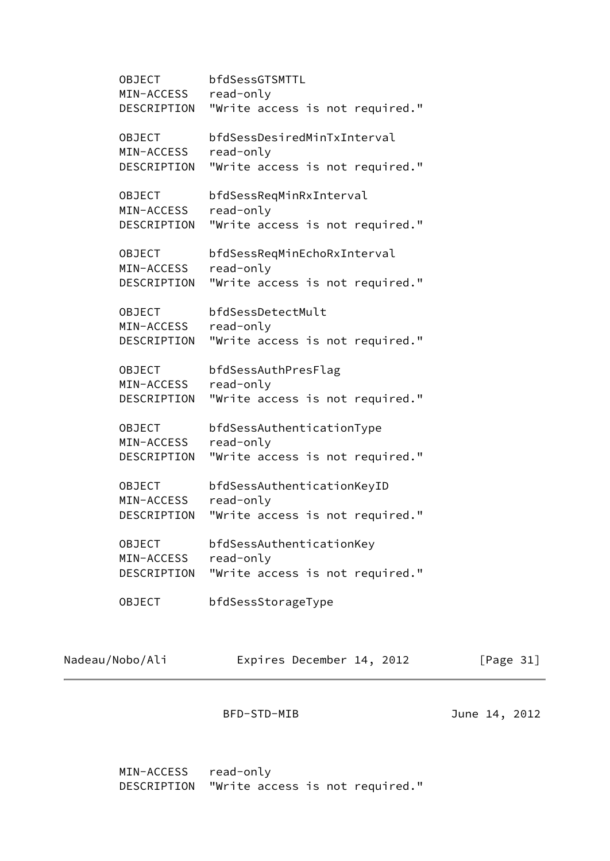OBJECT bfdSessGTSMTTL MIN-ACCESS read-only DESCRIPTION "Write access is not required." OBJECT bfdSessDesiredMinTxInterval MIN-ACCESS read-only DESCRIPTION "Write access is not required." OBJECT bfdSessReqMinRxInterval MIN-ACCESS read-only DESCRIPTION "Write access is not required." OBJECT bfdSessReqMinEchoRxInterval MIN-ACCESS read-only DESCRIPTION "Write access is not required." OBJECT bfdSessDetectMult MIN-ACCESS read-only DESCRIPTION "Write access is not required." OBJECT bfdSessAuthPresFlag MIN-ACCESS read-only DESCRIPTION "Write access is not required." OBJECT bfdSessAuthenticationType MIN-ACCESS read-only DESCRIPTION "Write access is not required." OBJECT bfdSessAuthenticationKeyID MIN-ACCESS read-only DESCRIPTION "Write access is not required." OBJECT bfdSessAuthenticationKey MIN-ACCESS read-only DESCRIPTION "Write access is not required." OBJECT bfdSessStorageType

Nadeau/Nobo/Ali Expires December 14, 2012 [Page 31]

BFD-STD-MIB June 14, 2012

 MIN-ACCESS read-only DESCRIPTION "Write access is not required."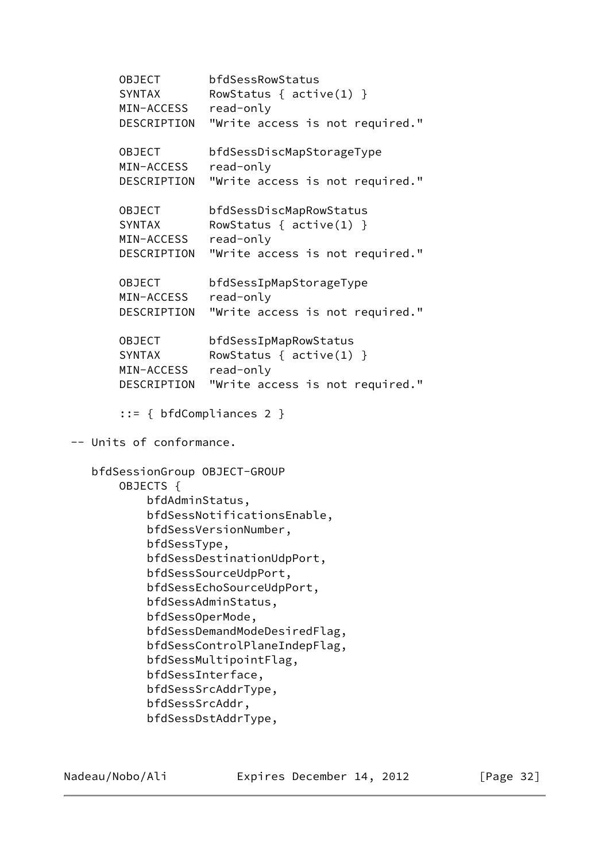OBJECT bfdSessRowStatus SYNTAX RowStatus { active(1) } MIN-ACCESS read-only DESCRIPTION "Write access is not required." OBJECT bfdSessDiscMapStorageType MIN-ACCESS read-only DESCRIPTION "Write access is not required." OBJECT bfdSessDiscMapRowStatus SYNTAX RowStatus { active(1) } MIN-ACCESS read-only DESCRIPTION "Write access is not required." OBJECT bfdSessIpMapStorageType MIN-ACCESS read-only DESCRIPTION "Write access is not required." OBJECT bfdSessIpMapRowStatus SYNTAX RowStatus { active(1) } MIN-ACCESS read-only DESCRIPTION "Write access is not required." ::= { bfdCompliances 2 } -- Units of conformance. bfdSessionGroup OBJECT-GROUP OBJECTS { bfdAdminStatus, bfdSessNotificationsEnable, bfdSessVersionNumber, bfdSessType, bfdSessDestinationUdpPort, bfdSessSourceUdpPort, bfdSessEchoSourceUdpPort, bfdSessAdminStatus, bfdSessOperMode, bfdSessDemandModeDesiredFlag, bfdSessControlPlaneIndepFlag, bfdSessMultipointFlag, bfdSessInterface, bfdSessSrcAddrType, bfdSessSrcAddr, bfdSessDstAddrType,

Nadeau/Nobo/Ali Expires December 14, 2012 [Page 32]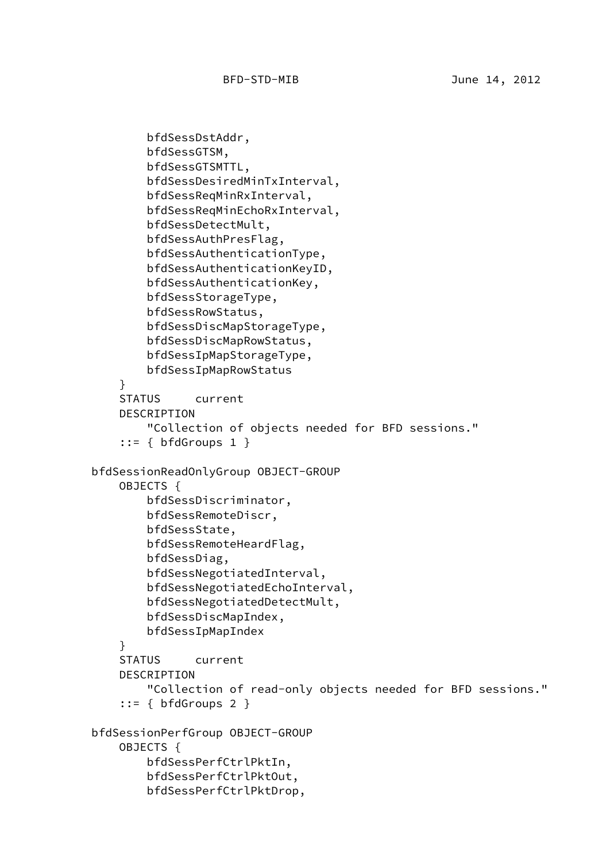```
 bfdSessDstAddr,
         bfdSessGTSM,
         bfdSessGTSMTTL,
         bfdSessDesiredMinTxInterval,
         bfdSessReqMinRxInterval,
         bfdSessReqMinEchoRxInterval,
         bfdSessDetectMult,
         bfdSessAuthPresFlag,
         bfdSessAuthenticationType,
         bfdSessAuthenticationKeyID,
         bfdSessAuthenticationKey,
         bfdSessStorageType,
         bfdSessRowStatus,
         bfdSessDiscMapStorageType,
         bfdSessDiscMapRowStatus,
         bfdSessIpMapStorageType,
         bfdSessIpMapRowStatus
     }
     STATUS current
     DESCRIPTION
         "Collection of objects needed for BFD sessions."
    ::= { bfdGroups 1 } bfdSessionReadOnlyGroup OBJECT-GROUP
     OBJECTS {
         bfdSessDiscriminator,
         bfdSessRemoteDiscr,
         bfdSessState,
         bfdSessRemoteHeardFlag,
         bfdSessDiag,
         bfdSessNegotiatedInterval,
         bfdSessNegotiatedEchoInterval,
         bfdSessNegotiatedDetectMult,
         bfdSessDiscMapIndex,
         bfdSessIpMapIndex
     }
     STATUS current
     DESCRIPTION
         "Collection of read-only objects needed for BFD sessions."
    ::= { bfdGroups 2 }
 bfdSessionPerfGroup OBJECT-GROUP
     OBJECTS {
         bfdSessPerfCtrlPktIn,
         bfdSessPerfCtrlPktOut,
         bfdSessPerfCtrlPktDrop,
```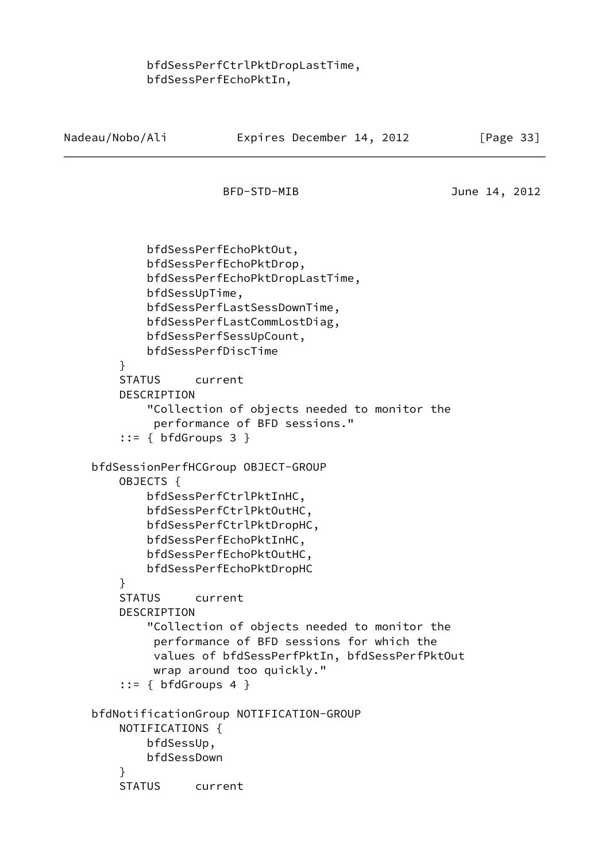# bfdSessPerfCtrlPktDropLastTime, bfdSessPerfEchoPktIn,

Nadeau/Nobo/Ali **Expires December 14, 2012** [Page 33]

<span id="page-38-0"></span>BFD-STD-MIB June 14, 2012 bfdSessPerfEchoPktOut, bfdSessPerfEchoPktDrop, bfdSessPerfEchoPktDropLastTime, bfdSessUpTime, bfdSessPerfLastSessDownTime, bfdSessPerfLastCommLostDiag, bfdSessPerfSessUpCount, bfdSessPerfDiscTime } STATUS current DESCRIPTION "Collection of objects needed to monitor the performance of BFD sessions."  $::=$  { bfdGroups 3 } bfdSessionPerfHCGroup OBJECT-GROUP OBJECTS { bfdSessPerfCtrlPktInHC, bfdSessPerfCtrlPktOutHC, bfdSessPerfCtrlPktDropHC, bfdSessPerfEchoPktInHC, bfdSessPerfEchoPktOutHC, bfdSessPerfEchoPktDropHC } STATUS current DESCRIPTION "Collection of objects needed to monitor the performance of BFD sessions for which the values of bfdSessPerfPktIn, bfdSessPerfPktOut wrap around too quickly."  $::= { bfdGroups 4 }$  bfdNotificationGroup NOTIFICATION-GROUP NOTIFICATIONS { bfdSessUp, bfdSessDown } STATUS current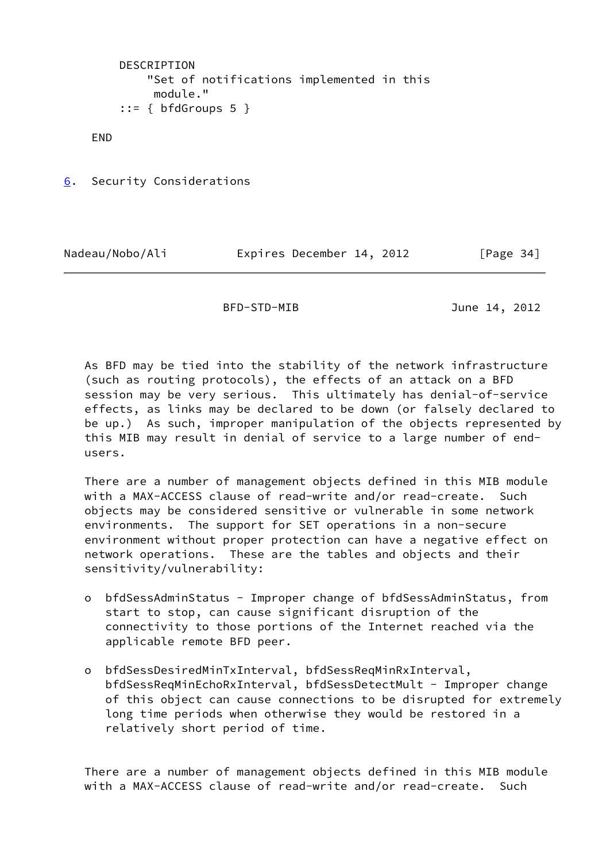```
 DESCRIPTION
     "Set of notifications implemented in this
      module."
::= { bfdGroups 5 }
```
END

<span id="page-39-0"></span>[6](#page-39-0). Security Considerations

Nadeau/Nobo/Ali Expires December 14, 2012 [Page 34]

BFD-STD-MIB June 14, 2012

 As BFD may be tied into the stability of the network infrastructure (such as routing protocols), the effects of an attack on a BFD session may be very serious. This ultimately has denial-of-service effects, as links may be declared to be down (or falsely declared to be up.) As such, improper manipulation of the objects represented by this MIB may result in denial of service to a large number of end users.

 There are a number of management objects defined in this MIB module with a MAX-ACCESS clause of read-write and/or read-create. Such objects may be considered sensitive or vulnerable in some network environments. The support for SET operations in a non-secure environment without proper protection can have a negative effect on network operations. These are the tables and objects and their sensitivity/vulnerability:

- o bfdSessAdminStatus Improper change of bfdSessAdminStatus, from start to stop, can cause significant disruption of the connectivity to those portions of the Internet reached via the applicable remote BFD peer.
- o bfdSessDesiredMinTxInterval, bfdSessReqMinRxInterval, bfdSessReqMinEchoRxInterval, bfdSessDetectMult - Improper change of this object can cause connections to be disrupted for extremely long time periods when otherwise they would be restored in a relatively short period of time.

 There are a number of management objects defined in this MIB module with a MAX-ACCESS clause of read-write and/or read-create. Such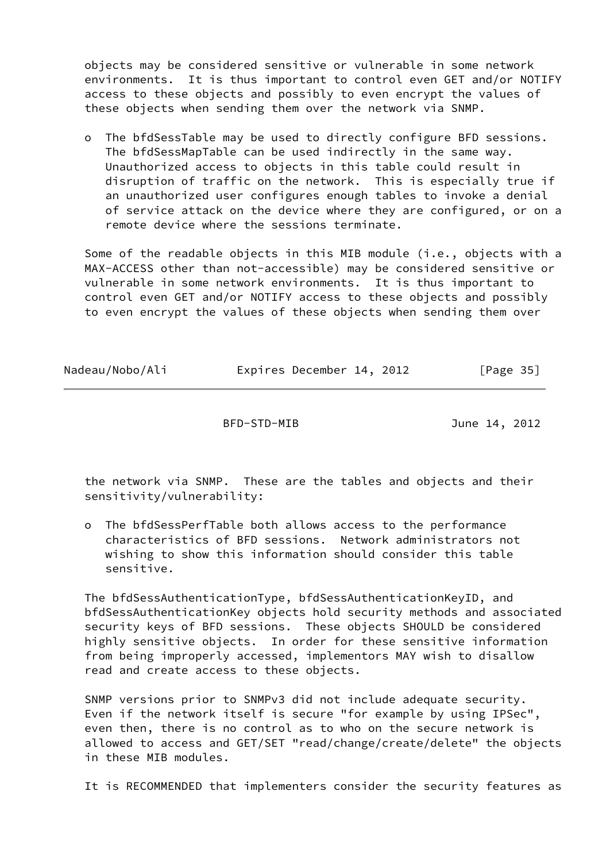objects may be considered sensitive or vulnerable in some network environments. It is thus important to control even GET and/or NOTIFY access to these objects and possibly to even encrypt the values of these objects when sending them over the network via SNMP.

 o The bfdSessTable may be used to directly configure BFD sessions. The bfdSessMapTable can be used indirectly in the same way. Unauthorized access to objects in this table could result in disruption of traffic on the network. This is especially true if an unauthorized user configures enough tables to invoke a denial of service attack on the device where they are configured, or on a remote device where the sessions terminate.

Some of the readable objects in this MIB module (i.e., objects with a MAX-ACCESS other than not-accessible) may be considered sensitive or vulnerable in some network environments. It is thus important to control even GET and/or NOTIFY access to these objects and possibly to even encrypt the values of these objects when sending them over

| Nadeau/Nobo/Ali | Expires December 14, 2012 | [Page 35] |
|-----------------|---------------------------|-----------|
|-----------------|---------------------------|-----------|

BFD-STD-MIB June 14, 2012

 the network via SNMP. These are the tables and objects and their sensitivity/vulnerability:

 o The bfdSessPerfTable both allows access to the performance characteristics of BFD sessions. Network administrators not wishing to show this information should consider this table sensitive.

 The bfdSessAuthenticationType, bfdSessAuthenticationKeyID, and bfdSessAuthenticationKey objects hold security methods and associated security keys of BFD sessions. These objects SHOULD be considered highly sensitive objects. In order for these sensitive information from being improperly accessed, implementors MAY wish to disallow read and create access to these objects.

 SNMP versions prior to SNMPv3 did not include adequate security. Even if the network itself is secure "for example by using IPSec", even then, there is no control as to who on the secure network is allowed to access and GET/SET "read/change/create/delete" the objects in these MIB modules.

It is RECOMMENDED that implementers consider the security features as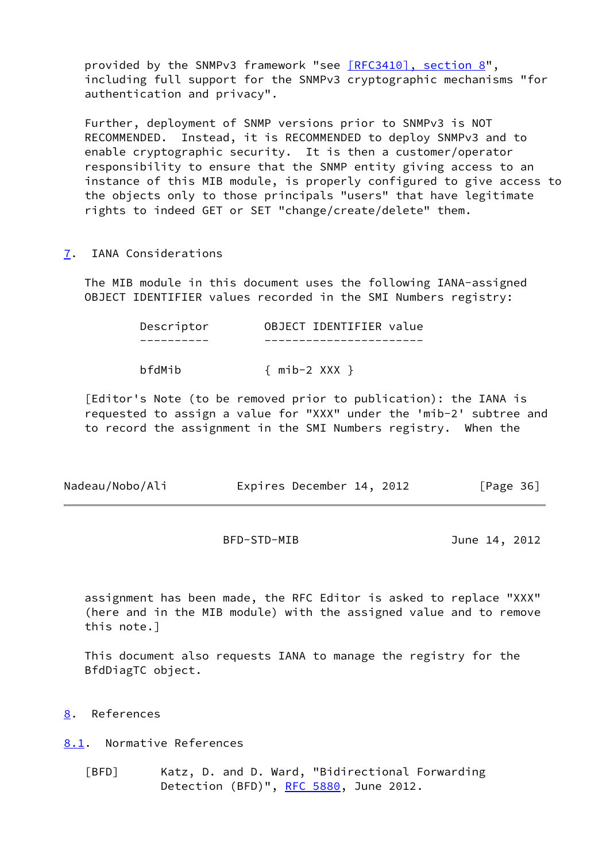provided by the SNMPv3 framework "see [\[RFC3410\], section](https://datatracker.ietf.org/doc/pdf/rfc3410#section-8) 8", including full support for the SNMPv3 cryptographic mechanisms "for authentication and privacy".

 Further, deployment of SNMP versions prior to SNMPv3 is NOT RECOMMENDED. Instead, it is RECOMMENDED to deploy SNMPv3 and to enable cryptographic security. It is then a customer/operator responsibility to ensure that the SNMP entity giving access to an instance of this MIB module, is properly configured to give access to the objects only to those principals "users" that have legitimate rights to indeed GET or SET "change/create/delete" them.

<span id="page-41-0"></span>[7](#page-41-0). IANA Considerations

 The MIB module in this document uses the following IANA-assigned OBJECT IDENTIFIER values recorded in the SMI Numbers registry:

| Descriptor | OBJECT IDENTIFIER value |  |
|------------|-------------------------|--|
|            |                         |  |
| bfdMib     | $\{$ mib-2 XXX $\}$     |  |

 [Editor's Note (to be removed prior to publication): the IANA is requested to assign a value for "XXX" under the 'mib-2' subtree and to record the assignment in the SMI Numbers registry. When the

| Nadeau/Nobo/Ali | Expires December 14, 2012 |  | [Page 36] |
|-----------------|---------------------------|--|-----------|
|-----------------|---------------------------|--|-----------|

BFD-STD-MIB June 14, 2012

 assignment has been made, the RFC Editor is asked to replace "XXX" (here and in the MIB module) with the assigned value and to remove this note.]

 This document also requests IANA to manage the registry for the BfdDiagTC object.

<span id="page-41-1"></span>[8](#page-41-1). References

<span id="page-41-2"></span>[8.1](#page-41-2). Normative References

<span id="page-41-3"></span> [BFD] Katz, D. and D. Ward, "Bidirectional Forwarding Detection (BFD)", [RFC 5880](https://datatracker.ietf.org/doc/pdf/rfc5880), June 2012.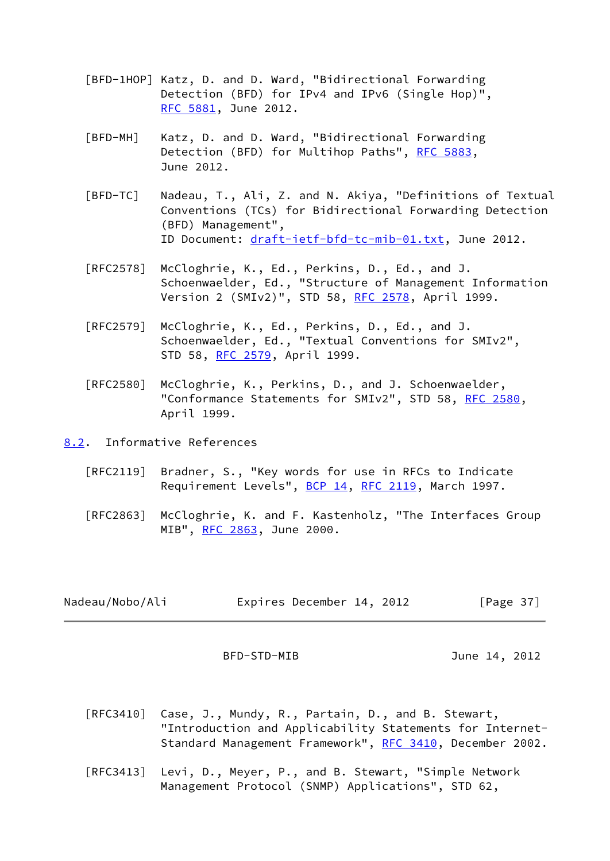- <span id="page-42-1"></span> [BFD-1HOP] Katz, D. and D. Ward, "Bidirectional Forwarding Detection (BFD) for IPv4 and IPv6 (Single Hop)", [RFC 5881,](https://datatracker.ietf.org/doc/pdf/rfc5881) June 2012.
- <span id="page-42-2"></span> [BFD-MH] Katz, D. and D. Ward, "Bidirectional Forwarding Detection (BFD) for Multihop Paths", [RFC 5883](https://datatracker.ietf.org/doc/pdf/rfc5883), June 2012.
- <span id="page-42-3"></span> [BFD-TC] Nadeau, T., Ali, Z. and N. Akiya, "Definitions of Textual Conventions (TCs) for Bidirectional Forwarding Detection (BFD) Management", ID Document: [draft-ietf-bfd-tc-mib-01.txt](https://datatracker.ietf.org/doc/pdf/draft-ietf-bfd-tc-mib-01.txt), June 2012.
- [RFC2578] McCloghrie, K., Ed., Perkins, D., Ed., and J. Schoenwaelder, Ed., "Structure of Management Information Version 2 (SMIv2)", STD 58, [RFC 2578,](https://datatracker.ietf.org/doc/pdf/rfc2578) April 1999.
- [RFC2579] McCloghrie, K., Ed., Perkins, D., Ed., and J. Schoenwaelder, Ed., "Textual Conventions for SMIv2", STD 58, [RFC 2579,](https://datatracker.ietf.org/doc/pdf/rfc2579) April 1999.
- [RFC2580] McCloghrie, K., Perkins, D., and J. Schoenwaelder, "Conformance Statements for SMIv2", STD 58, [RFC 2580,](https://datatracker.ietf.org/doc/pdf/rfc2580) April 1999.

<span id="page-42-0"></span>[8.2](#page-42-0). Informative References

- [RFC2119] Bradner, S., "Key words for use in RFCs to Indicate Requirement Levels", [BCP 14](https://datatracker.ietf.org/doc/pdf/bcp14), [RFC 2119](https://datatracker.ietf.org/doc/pdf/rfc2119), March 1997.
- [RFC2863] McCloghrie, K. and F. Kastenholz, "The Interfaces Group MIB", [RFC 2863](https://datatracker.ietf.org/doc/pdf/rfc2863), June 2000.

| Nadeau/Nobo/Ali | Expires December 14, 2012 |  | [Page 37] |
|-----------------|---------------------------|--|-----------|
|-----------------|---------------------------|--|-----------|

BFD-STD-MIB June 14, 2012

- [RFC3410] Case, J., Mundy, R., Partain, D., and B. Stewart, "Introduction and Applicability Statements for Internet- Standard Management Framework", [RFC 3410,](https://datatracker.ietf.org/doc/pdf/rfc3410) December 2002.
- [RFC3413] Levi, D., Meyer, P., and B. Stewart, "Simple Network Management Protocol (SNMP) Applications", STD 62,